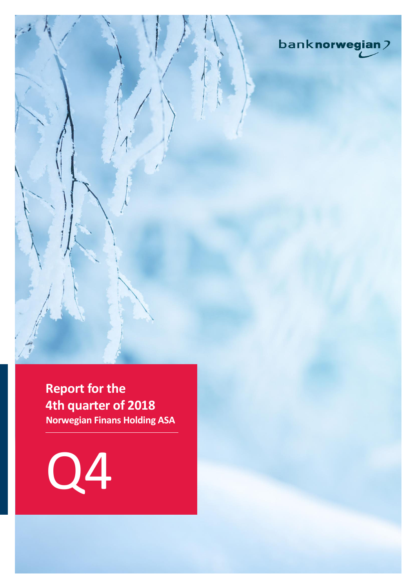

**Report for the 4th quarter of 2018 Norwegian Finans Holding ASA**

Q4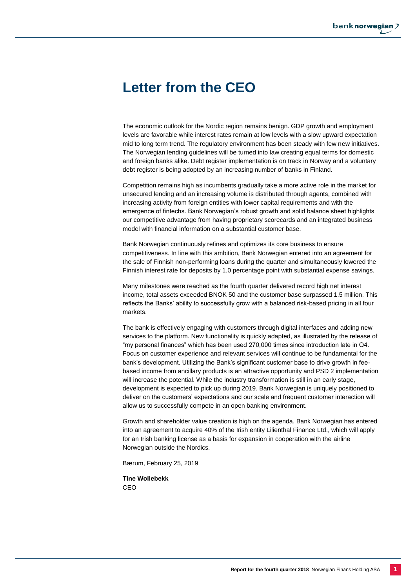# **Letter from the CEO**

The economic outlook for the Nordic region remains benign. GDP growth and employment levels are favorable while interest rates remain at low levels with a slow upward expectation mid to long term trend. The regulatory environment has been steady with few new initiatives. The Norwegian lending guidelines will be turned into law creating equal terms for domestic and foreign banks alike. Debt register implementation is on track in Norway and a voluntary debt register is being adopted by an increasing number of banks in Finland.

Competition remains high as incumbents gradually take a more active role in the market for unsecured lending and an increasing volume is distributed through agents, combined with increasing activity from foreign entities with lower capital requirements and with the emergence of fintechs. Bank Norwegian's robust growth and solid balance sheet highlights our competitive advantage from having proprietary scorecards and an integrated business model with financial information on a substantial customer base.

Bank Norwegian continuously refines and optimizes its core business to ensure competitiveness. In line with this ambition, Bank Norwegian entered into an agreement for the sale of Finnish non-performing loans during the quarter and simultaneously lowered the Finnish interest rate for deposits by 1.0 percentage point with substantial expense savings.

Many milestones were reached as the fourth quarter delivered record high net interest income, total assets exceeded BNOK 50 and the customer base surpassed 1.5 million. This reflects the Banks' ability to successfully grow with a balanced risk-based pricing in all four markets.

The bank is effectively engaging with customers through digital interfaces and adding new services to the platform. New functionality is quickly adapted, as illustrated by the release of "my personal finances" which has been used 270,000 times since introduction late in Q4. Focus on customer experience and relevant services will continue to be fundamental for the bank's development. Utilizing the Bank's significant customer base to drive growth in feebased income from ancillary products is an attractive opportunity and PSD 2 implementation will increase the potential. While the industry transformation is still in an early stage, development is expected to pick up during 2019. Bank Norwegian is uniquely positioned to deliver on the customers' expectations and our scale and frequent customer interaction will allow us to successfully compete in an open banking environment.

Growth and shareholder value creation is high on the agenda. Bank Norwegian has entered into an agreement to acquire 40% of the Irish entity Lilienthal Finance Ltd., which will apply for an Irish banking license as a basis for expansion in cooperation with the airline Norwegian outside the Nordics.

Bærum, February 25, 2019

**Tine Wollebekk** CEO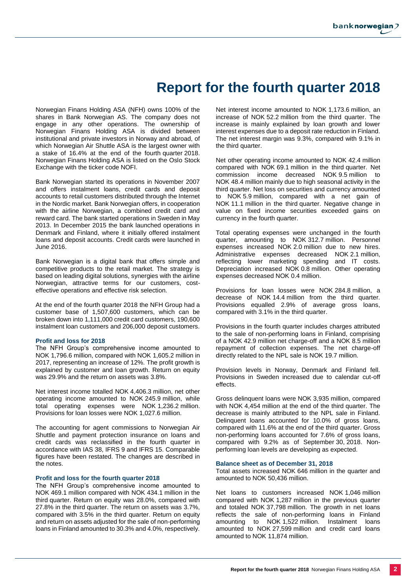# **Report for the fourth quarter 2018**

Norwegian Finans Holding ASA (NFH) owns 100% of the shares in Bank Norwegian AS. The company does not engage in any other operations. The ownership of Norwegian Finans Holding ASA is divided between institutional and private investors in Norway and abroad, of which Norwegian Air Shuttle ASA is the largest owner with a stake of 16.4% at the end of the fourth quarter 2018. Norwegian Finans Holding ASA is listed on the Oslo Stock Exchange with the ticker code NOFI.

Bank Norwegian started its operations in November 2007 and offers instalment loans, credit cards and deposit accounts to retail customers distributed through the Internet in the Nordic market. Bank Norwegian offers, in cooperation with the airline Norwegian, a combined credit card and reward card. The bank started operations in Sweden in May 2013. In December 2015 the bank launched operations in Denmark and Finland, where it initially offered instalment loans and deposit accounts. Credit cards were launched in June 2016.

Bank Norwegian is a digital bank that offers simple and competitive products to the retail market. The strategy is based on leading digital solutions, synergies with the airline Norwegian, attractive terms for our customers, costeffective operations and effective risk selection.

At the end of the fourth quarter 2018 the NFH Group had a customer base of 1,507,600 customers, which can be broken down into 1,111,000 credit card customers, 190,600 instalment loan customers and 206,000 deposit customers.

#### **Profit and loss for 2018**

The NFH Group's comprehensive income amounted to NOK 1,796.6 million, compared with NOK 1,605.2 million in 2017, representing an increase of 12%. The profit growth is explained by customer and loan growth. Return on equity was 29.9% and the return on assets was 3.8%.

Net interest income totalled NOK 4,406.3 million, net other operating income amounted to NOK 245.9 million, while total operating expenses were NOK 1,236.2 million. Provisions for loan losses were NOK 1,027.6 million.

The accounting for agent commissions to Norwegian Air Shuttle and payment protection insurance on loans and credit cards was reclassified in the fourth quarter in accordance with IAS 38, IFRS 9 and IFRS 15. Comparable figures have been restated. The changes are described in the notes.

#### **Profit and loss for the fourth quarter 2018**

The NFH Group's comprehensive income amounted to NOK 469.1 million compared with NOK 434.1 million in the third quarter. Return on equity was 28.0%, compared with 27.8% in the third quarter. The return on assets was 3.7%, compared with 3.5% in the third quarter. Return on equity and return on assets adjusted for the sale of non-performing loans in Finland amounted to 30.3% and 4.0%, respectively.

Net interest income amounted to NOK 1,173.6 million, an increase of NOK 52.2 million from the third quarter. The increase is mainly explained by loan growth and lower interest expenses due to a deposit rate reduction in Finland. The net interest margin was 9.3%, compared with 9.1% in the third quarter.

Net other operating income amounted to NOK 42.4 million compared with NOK 69.1 million in the third quarter. Net commission income decreased NOK 9.5 million to NOK 48.4 million mainly due to high seasonal activity in the third quarter. Net loss on securities and currency amounted to NOK 5.9 million, compared with a net gain of NOK 11.1 million in the third quarter. Negative change in value on fixed income securities exceeded gains on currency in the fourth quarter.

Total operating expenses were unchanged in the fourth quarter, amounting to NOK 312.7 million. Personnel expenses increased NOK 2.0 million due to new hires. Administrative expenses decreased NOK 2.1 million, reflecting lower marketing spending and IT costs. Depreciation increased NOK 0.8 million. Other operating expenses decreased NOK 0.4 million.

Provisions for loan losses were NOK 284.8 million, a decrease of NOK 14.4 million from the third quarter. Provisions equalled 2.9% of average gross loans, compared with 3.1% in the third quarter.

Provisions in the fourth quarter includes charges attributed to the sale of non-performing loans in Finland, comprising of a NOK 42.9 million net charge-off and a NOK 8.5 million repayment of collection expenses. The net charge-off directly related to the NPL sale is NOK 19.7 million.

Provision levels in Norway, Denmark and Finland fell. Provisions in Sweden increased due to calendar cut-off effects.

Gross delinquent loans were NOK 3,935 million, compared with NOK 4,454 million at the end of the third quarter. The decrease is mainly attributed to the NPL sale in Finland. Delinquent loans accounted for 10.0% of gross loans, compared with 11.6% at the end of the third quarter. Gross non-performing loans accounted for 7.6% of gross loans, compared with 9.2% as of September 30, 2018. Nonperforming loan levels are developing as expected.

#### **Balance sheet as of December 31, 2018**

Total assets increased NOK 646 million in the quarter and amounted to NOK 50,436 million.

Net loans to customers increased NOK 1,046 million compared with NOK 1,287 million in the previous quarter and totaled NOK 37,798 million. The growth in net loans reflects the sale of non-performing loans in Finland amounting to NOK 1,522 million. Instalment loans amounted to NOK 27,599 million and credit card loans amounted to NOK 11,874 million.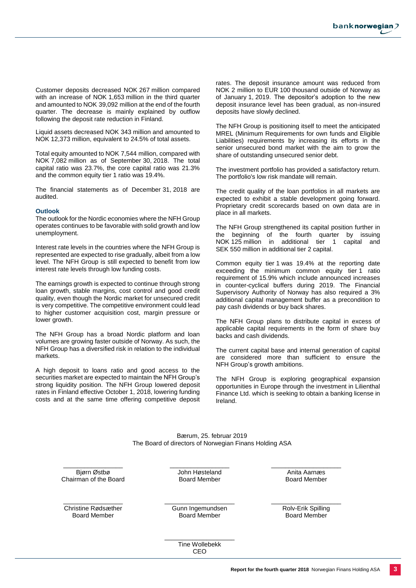Customer deposits decreased NOK 267 million compared with an increase of NOK 1,653 million in the third quarter and amounted to NOK 39,092 million at the end of the fourth quarter. The decrease is mainly explained by outflow following the deposit rate reduction in Finland.

Liquid assets decreased NOK 343 million and amounted to NOK 12,373 million, equivalent to 24.5% of total assets.

Total equity amounted to NOK 7,544 million, compared with NOK 7,082 million as of September 30, 2018. The total capital ratio was 23.7%, the core capital ratio was 21.3% and the common equity tier 1 ratio was 19.4%.

The financial statements as of December 31, 2018 are audited.

#### **Outlook**

The outlook for the Nordic economies where the NFH Group operates continues to be favorable with solid growth and low unemployment.

Interest rate levels in the countries where the NFH Group is represented are expected to rise gradually, albeit from a low level. The NFH Group is still expected to benefit from low interest rate levels through low funding costs.

The earnings growth is expected to continue through strong loan growth, stable margins, cost control and good credit quality, even though the Nordic market for unsecured credit is very competitive. The competitive environment could lead to higher customer acquisition cost, margin pressure or lower growth.

The NFH Group has a broad Nordic platform and loan volumes are growing faster outside of Norway. As such, the NFH Group has a diversified risk in relation to the individual markets.

A high deposit to loans ratio and good access to the securities market are expected to maintain the NFH Group's strong liquidity position. The NFH Group lowered deposit rates in Finland effective October 1, 2018, lowering funding costs and at the same time offering competitive deposit

rates. The deposit insurance amount was reduced from NOK 2 million to EUR 100 thousand outside of Norway as of January 1, 2019. The depositor's adoption to the new deposit insurance level has been gradual, as non-insured deposits have slowly declined.

The NFH Group is positioning itself to meet the anticipated MREL (Minimum Requirements for own funds and Eligible Liabilities) requirements by increasing its efforts in the senior unsecured bond market with the aim to grow the share of outstanding unsecured senior debt.

The investment portfolio has provided a satisfactory return. The portfolio's low risk mandate will remain.

The credit quality of the loan portfolios in all markets are expected to exhibit a stable development going forward. Proprietary credit scorecards based on own data are in place in all markets.

The NFH Group strengthened its capital position further in the beginning of the fourth quarter by issuing NOK 125 million in additional tier 1 capital and SEK 550 million in additional tier 2 capital.

Common equity tier 1 was 19.4% at the reporting date exceeding the minimum common equity tier 1 ratio requirement of 15.9% which include announced increases in counter-cyclical buffers during 2019. The Financial Supervisory Authority of Norway has also required a 3% additional capital management buffer as a precondition to pay cash dividends or buy back shares.

The NFH Group plans to distribute capital in excess of applicable capital requirements in the form of share buy backs and cash dividends.

The current capital base and internal generation of capital are considered more than sufficient to ensure the NFH Group's growth ambitions.

The NFH Group is exploring geographical expansion opportunities in Europe through the investment in Lilienthal Finance Ltd. which is seeking to obtain a banking license in Ireland.

Bærum, 25. februar 2019 The Board of directors of Norwegian Finans Holding ASA

\_\_\_\_\_\_\_\_\_\_\_\_\_\_\_\_\_ Bjørn Østbø Chairman of the Board \_\_\_\_\_\_\_\_\_\_\_\_\_\_\_\_\_ John Høsteland Board Member

\_\_\_\_\_\_\_\_\_\_\_\_\_\_\_\_\_ Christine Rødsæther Board Member

\_\_\_\_\_\_\_\_\_\_\_\_\_\_\_\_\_\_\_\_ Gunn Ingemundsen Board Member

Anita Aarnæs Board Member

\_\_\_\_\_\_\_\_\_\_\_\_\_\_\_\_\_\_\_\_

\_\_\_\_\_\_\_\_\_\_\_\_\_\_\_\_\_\_\_\_

\_\_\_\_\_\_\_\_\_\_\_\_\_\_\_\_\_\_\_\_ Rolv-Erik Spilling Board Member

Tine Wollebekk CEO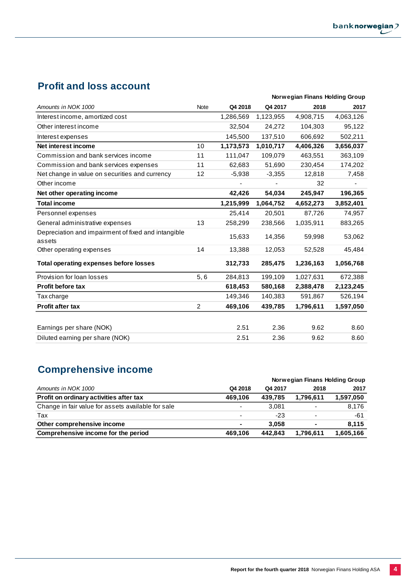## **Profit and loss account**

|                                                               |                |           | Norwegian Finans Holding Group |           |           |  |  |
|---------------------------------------------------------------|----------------|-----------|--------------------------------|-----------|-----------|--|--|
| Amounts in NOK 1000                                           | <b>Note</b>    | Q4 2018   | Q4 2017                        | 2018      | 2017      |  |  |
| Interest income, amortized cost                               |                | 1,286,569 | 1,123,955                      | 4,908,715 | 4,063,126 |  |  |
| Other interest income                                         |                | 32,504    | 24,272                         | 104,303   | 95,122    |  |  |
| Interest expenses                                             |                | 145,500   | 137,510                        | 606.692   | 502,211   |  |  |
| Net interest income                                           | 10             | 1,173,573 | 1,010,717                      | 4,406,326 | 3,656,037 |  |  |
| Commission and bank services income                           | 11             | 111,047   | 109,079                        | 463,551   | 363,109   |  |  |
| Commission and bank services expenses                         | 11             | 62,683    | 51,690                         | 230,454   | 174,202   |  |  |
| Net change in value on securities and currency                | 12             | $-5,938$  | $-3,355$                       | 12,818    | 7,458     |  |  |
| Other income                                                  |                |           | ٠                              | 32        |           |  |  |
| Net other operating income                                    |                | 42,426    | 54,034                         | 245,947   | 196,365   |  |  |
| <b>Total income</b>                                           |                | 1,215,999 | 1,064,752                      | 4,652,273 | 3,852,401 |  |  |
| Personnel expenses                                            |                | 25,414    | 20,501                         | 87,726    | 74,957    |  |  |
| General administrative expenses                               | 13             | 258,299   | 238,566                        | 1,035,911 | 883,265   |  |  |
| Depreciation and impairment of fixed and intangible<br>assets |                | 15,633    | 14,356                         | 59,998    | 53,062    |  |  |
| Other operating expenses                                      | 14             | 13,388    | 12,053                         | 52,528    | 45,484    |  |  |
| <b>Total operating expenses before losses</b>                 |                | 312,733   | 285,475                        | 1,236,163 | 1,056,768 |  |  |
| Provision for loan losses                                     | 5, 6           | 284,813   | 199,109                        | 1,027,631 | 672,388   |  |  |
| <b>Profit before tax</b>                                      |                | 618,453   | 580,168                        | 2,388,478 | 2,123,245 |  |  |
| Tax charge                                                    |                | 149,346   | 140,383                        | 591,867   | 526,194   |  |  |
| <b>Profit after tax</b>                                       | $\overline{2}$ | 469,106   | 439,785                        | 1,796,611 | 1,597,050 |  |  |
|                                                               |                |           |                                |           |           |  |  |
| Earnings per share (NOK)                                      |                | 2.51      | 2.36                           | 9.62      | 8.60      |  |  |
| Diluted earning per share (NOK)                               |                | 2.51      | 2.36                           | 9.62      | 8.60      |  |  |

## **Comprehensive income**

|                                                    |                          |         | Norwegian Finans Holding Group |           |
|----------------------------------------------------|--------------------------|---------|--------------------------------|-----------|
| Amounts in NOK 1000                                | Q4 2018                  | Q4 2017 | 2018                           | 2017      |
| Profit on ordinary activities after tax            | 469.106                  | 439.785 | 1,796,611                      | 1,597,050 |
| Change in fair value for assets available for sale | $\overline{\phantom{0}}$ | 3.081   |                                | 8.176     |
| Tax                                                | $\overline{\phantom{0}}$ | $-23$   |                                | -61       |
| Other comprehensive income                         | $\sim$                   | 3.058   | $\blacksquare$                 | 8.115     |
| Comprehensive income for the period                | 469.106                  | 442.843 | 1,796,611                      | 1,605,166 |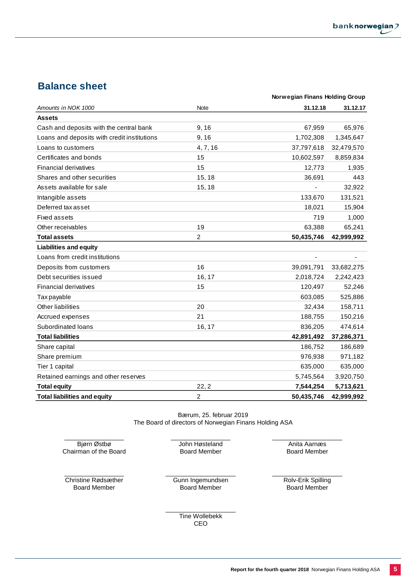## **Balance sheet**

|                                             | Norwegian Finans Holding Group |                              |            |
|---------------------------------------------|--------------------------------|------------------------------|------------|
| Amounts in NOK 1000                         | Note                           | 31.12.18                     | 31.12.17   |
| <b>Assets</b>                               |                                |                              |            |
| Cash and deposits with the central bank     | 9, 16                          | 67,959                       | 65,976     |
| Loans and deposits with credit institutions | 9,16                           | 1,702,308                    | 1,345,647  |
| Loans to customers                          | 4, 7, 16                       | 37,797,618                   | 32,479,570 |
| Certificates and bonds                      | 15                             | 10,602,597                   | 8,859,834  |
| <b>Financial derivatives</b>                | 15                             | 12,773                       | 1,935      |
| Shares and other securities                 | 15, 18                         | 36,691                       | 443        |
| Assets available for sale                   | 15, 18                         |                              | 32,922     |
| Intangible assets                           |                                | 133,670                      | 131,521    |
| Deferred tax asset                          |                                | 18,021                       | 15,904     |
| <b>Fixed assets</b>                         |                                | 719                          | 1,000      |
| Other receivables                           | 19                             | 63,388                       | 65,241     |
| <b>Total assets</b>                         | $\overline{c}$                 | 50,435,746                   | 42,999,992 |
| <b>Liabilities and equity</b>               |                                |                              |            |
| Loans from credit institutions              |                                | $\qquad \qquad \blacksquare$ |            |
| Deposits from customers                     | 16                             | 39,091,791                   | 33,682,275 |
| Debt securities issued                      | 16, 17                         | 2,018,724                    | 2,242,423  |
| <b>Financial derivatives</b>                | 15                             | 120,497                      | 52,246     |
| Tax payable                                 |                                | 603,085                      | 525,886    |
| Other liabilities                           | 20                             | 32,434                       | 158,711    |
| Accrued expenses                            | 21                             | 188,755                      | 150,216    |
| Subordinated loans                          | 16, 17                         | 836,205                      | 474,614    |
| <b>Total liabilities</b>                    |                                | 42,891,492                   | 37,286,371 |
| Share capital                               |                                | 186,752                      | 186,689    |
| Share premium                               |                                | 976,938                      | 971,182    |
| Tier 1 capital                              |                                | 635,000                      | 635,000    |
| Retained earnings and other reserves        |                                | 5,745,564                    | 3,920,750  |
| <b>Total equity</b>                         | 22, 2                          | 7,544,254                    | 5,713,621  |
| <b>Total liabilities and equity</b>         | $\overline{c}$                 | 50,435,746                   | 42,999,992 |

Bærum, 25. februar 2019 The Board of directors of Norwegian Finans Holding ASA

\_\_\_\_\_\_\_\_\_\_\_\_\_\_\_\_\_ Bjørn Østbø Chairman of the Board \_\_\_\_\_\_\_\_\_\_\_\_\_\_\_\_\_ John Høsteland Board Member

\_\_\_\_\_\_\_\_\_\_\_\_\_\_\_\_\_\_\_\_ Anita Aarnæs Board Member

\_\_\_\_\_\_\_\_\_\_\_\_\_\_\_\_\_ Christine Rødsæther Board Member

\_\_\_\_\_\_\_\_\_\_\_\_\_\_\_\_\_\_\_\_ Gunn Ingemundsen Board Member

\_\_\_\_\_\_\_\_\_\_\_\_\_\_\_\_\_\_\_\_ Rolv-Erik Spilling Board Member

\_\_\_\_\_\_\_\_\_\_\_\_\_\_\_\_\_\_\_\_ Tine Wollebekk CEO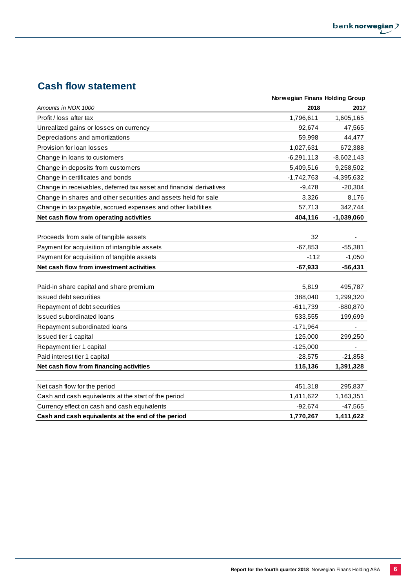## **Cash flow statement**

|                                                                     | Norwegian Finans Holding Group |              |
|---------------------------------------------------------------------|--------------------------------|--------------|
| Amounts in NOK 1000                                                 | 2018                           | 2017         |
| Profit / loss after tax                                             | 1,796,611                      | 1,605,165    |
| Unrealized gains or losses on currency                              | 92,674                         | 47,565       |
| Depreciations and amortizations                                     | 59,998                         | 44,477       |
| Provision for loan losses                                           | 1,027,631                      | 672,388      |
| Change in loans to customers                                        | $-6,291,113$                   | $-8,602,143$ |
| Change in deposits from customers                                   | 5,409,516                      | 9,258,502    |
| Change in certificates and bonds                                    | $-1,742,763$                   | -4,395,632   |
| Change in receivables, deferred tax asset and financial derivatives | $-9,478$                       | $-20,304$    |
| Change in shares and other securities and assets held for sale      | 3,326                          | 8,176        |
| Change in tax payable, accrued expenses and other liabilities       | 57,713                         | 342,744      |
| Net cash flow from operating activities                             | 404,116                        | $-1,039,060$ |
|                                                                     |                                |              |
| Proceeds from sale of tangible assets                               | 32                             |              |
| Payment for acquisition of intangible assets                        | $-67,853$                      | $-55,381$    |
| Payment for acquisition of tangible assets                          | $-112$                         | $-1,050$     |
| Net cash flow from investment activities                            | $-67,933$                      | $-56,431$    |
|                                                                     |                                |              |
| Paid-in share capital and share premium                             | 5,819                          | 495,787      |
| <b>Issued debt securities</b>                                       | 388,040                        | 1,299,320    |
| Repayment of debt securities                                        | $-611,739$                     | -880,870     |
| <b>Issued subordinated loans</b>                                    | 533,555                        | 199,699      |
| Repayment subordinated loans                                        | $-171,964$                     |              |
| Issued tier 1 capital                                               | 125,000                        | 299,250      |
| Repayment tier 1 capital                                            | $-125,000$                     |              |
| Paid interest tier 1 capital                                        | $-28,575$                      | $-21,858$    |
| Net cash flow from financing activities                             | 115,136                        | 1,391,328    |
|                                                                     |                                |              |
| Net cash flow for the period                                        | 451,318                        | 295,837      |
| Cash and cash equivalents at the start of the period                | 1,411,622                      | 1,163,351    |
| Currency effect on cash and cash equivalents                        | $-92,674$                      | $-47,565$    |
| Cash and cash equivalents at the end of the period                  | 1,770,267                      | 1,411,622    |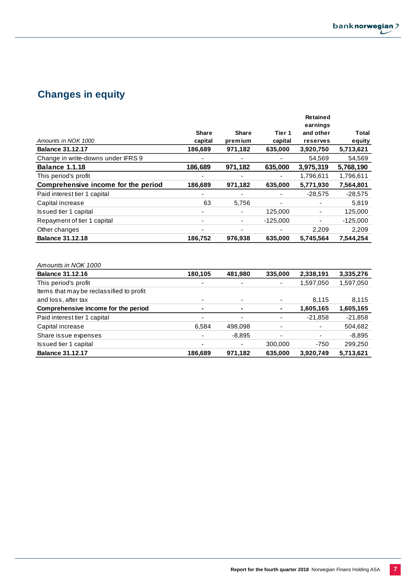# **Changes in equity**

|                                     |              |              |                          | <b>Retained</b><br>earnings |            |
|-------------------------------------|--------------|--------------|--------------------------|-----------------------------|------------|
|                                     | <b>Share</b> | <b>Share</b> | Tier 1                   | and other                   | Total      |
| Amounts in NOK 1000                 | capital      | premium      | capital                  | reserves                    | equity     |
| <b>Balance 31.12.17</b>             | 186,689      | 971,182      | 635,000                  | 3,920,750                   | 5,713,621  |
| Change in write-downs under IFRS 9  | ٠            |              |                          | 54,569                      | 54,569     |
| <b>Balance 1.1.18</b>               | 186,689      | 971,182      | 635,000                  | 3,975,319                   | 5,768,190  |
| This period's profit                |              |              | $\overline{\phantom{a}}$ | 1,796,611                   | 1,796,611  |
| Comprehensive income for the period | 186,689      | 971,182      | 635,000                  | 5,771,930                   | 7,564,801  |
| Paid interest tier 1 capital        |              |              |                          | $-28,575$                   | $-28,575$  |
| Capital increase                    | 63           | 5,756        | ٠                        |                             | 5,819      |
| Issued tier 1 capital               |              |              | 125,000                  | $\overline{\phantom{a}}$    | 125,000    |
| Repayment of tier 1 capital         | ٠            | ۰.           | $-125,000$               | ٠                           | $-125,000$ |
| Other changes                       |              |              |                          | 2,209                       | 2,209      |
| <b>Balance 31.12.18</b>             | 186,752      | 976,938      | 635,000                  | 5,745,564                   | 7,544,254  |

*Amounts in NOK 1000*

| <b>Balance 31.12.16</b>                  | 180,105        | 481,980  | 335,000                  | 2,338,191                | 3,335,276 |
|------------------------------------------|----------------|----------|--------------------------|--------------------------|-----------|
| This period's profit                     |                |          |                          | 1,597,050                | 1,597,050 |
| Items that may be reclassified to profit |                |          |                          |                          |           |
| and loss, after tax                      |                |          | $\overline{\phantom{a}}$ | 8.115                    | 8,115     |
| Comprehensive income for the period      | $\blacksquare$ |          |                          | 1,605,165                | 1,605,165 |
| Paid interest tier 1 capital             | -              | ٠        | $\overline{\phantom{0}}$ | $-21,858$                | $-21,858$ |
| Capital increase                         | 6,584          | 498,098  |                          | $\overline{\phantom{a}}$ | 504,682   |
| Share issue expenses                     |                | $-8.895$ | $\overline{\phantom{a}}$ | ٠                        | $-8,895$  |
| Issued tier 1 capital                    |                |          | 300,000                  | $-750$                   | 299,250   |
| <b>Balance 31.12.17</b>                  | 186,689        | 971,182  | 635,000                  | 3,920,749                | 5,713,621 |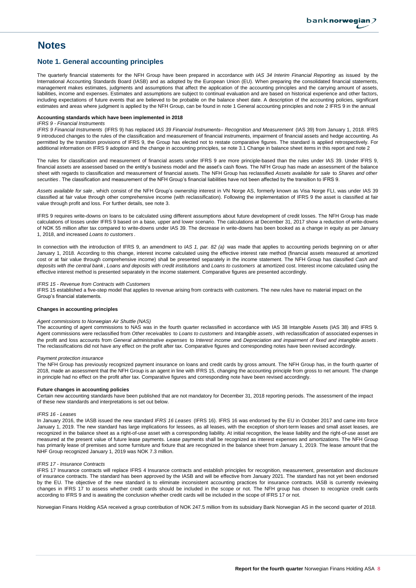## **Notes**

## **Note 1. General accounting principles**

The quarterly financial statements for the NFH Group have been prepared in accordance with *IAS 34 Interim Financial Reporting* as issued by the International Accounting Standards Board (IASB) and as adopted by the European Union (EU). When preparing the consolidated financial statements, management makes estimates, judgments and assumptions that affect the application of the accounting principles and the carrying amount of assets, liabilities, income and expenses. Estimates and assumptions are subject to continual evaluation and are based on historical experience and other factors, including expectations of future events that are believed to be probable on the balance sheet date. A description of the accounting policies, significant estimates and areas where judgment is applied by the NFH Group, can be found in note 1 General accounting principles and note 2 IFRS 9 in the annual

#### **Accounting standards which have been implemented in 2018**

#### *IFRS 9 - Financial Instruments*

*IFRS 9 Financial Instruments* (IFRS 9) has replaced *IAS 39 Financial Instruments– Recognition and Measurement* (IAS 39) from January 1, 2018. IFRS 9 introduced changes to the rules of the classification and measurement of financial instruments, impairment of financial assets and hedge accounting. As permitted by the transition provisions of IFRS 9, the Group has elected not to restate comparative figures. The standard is applied retrospectively. For additional information on IFRS 9 adoption and the change in accounting principles, se note 3.1 Change in balance sheet items in this report and note 2

The rules for classification and measurement of financial assets under IFRS 9 are more principle-based than the rules under IAS 39. Under IFRS 9, financial assets are assessed based on the entity's business model and the asset's cash flows. The NFH Group has made an assessment of the balance sheet with regards to classification and measurement of financial assets. The NFH Group has reclassified *Assets available for sale* to *Shares and other securities* . The classification and measurement of the NFH Group's financial liabilities have not been affected by the transition to IFRS 9.

*Assets available for sale* , which consist of the NFH Group's ownership interest in VN Norge AS, formerly known as Visa Norge FLI, was under IAS 39 classified at fair value through other comprehensive income (with reclassification). Following the implementation of IFRS 9 the asset is classified at fair value through profit and loss. For further details, see note 3.

IFRS 9 requires write-downs on loans to be calculated using different assumptions about future development of credit losses. The NFH Group has made calculations of losses under IFRS 9 based on a base, upper and lower scenario. The calculations at December 31, 2017 show a reduction of write-downs of NOK 55 million after tax compared to write-downs under IAS 39. The decrease in write-downs has been booked as a change in equity as per January 1, 2018, and increased *Loans to customers* .

In connection with the introduction of IFRS 9, an amendment to *IAS 1, par. 82 (a)* was made that applies to accounting periods beginning on or after January 1, 2018. According to this change, interest income calculated using the effective interest rate method (financial assets measured at amortized cost or at fair value through comprehensive income) shall be presented separately in the income statement. The NFH Group has classified *Cash and* deposits with the central bank, Loans and deposits with credit institutions and Loans to customers at amortized cost. Interest income calculated using the effective interest method is presented separately in the income statement. Comparative figures are presented accordingly.

*IFRS 15 - Revenue from Contracts with Customers*

IFRS 15 established a five-step model that applies to revenue arising from contracts with customers. The new rules have no material impact on the Group's financial statements.

#### **Changes in accounting principles**

#### *Agent commissions to Norwegian Air Shuttle (NAS)*

The accounting of agent commissions to NAS was in the fourth quarter reclassified in accordance with IAS 38 Intangible Assets (IAS 38) and IFRS 9. Agent commissions were reclassified from *Other receivables* to *Loans to customers* and *Intangible assets* , with reclassification of associated expenses in the profit and loss accounts from General administrative expenses to Interest income and Depreciation and impairment of fixed and intangible assets. The reclassifications did not have any effect on the profit after tax. Comparative figures and corresponding notes have been revised accordingly.

#### *Payment protection insurance*

The NFH Group has previously recognized payment insurance on loans and credit cards by gross amount. The NFH Group has, in the fourth quarter of 2018, made an assessment that the NFH Group is an agent in line with IFRS 15, changing the accounting principle from gross to net amount. The change in principle had no effect on the profit after tax. Comparative figures and corresponding note have been revised accordingly.

#### **Future changes in accounting policies**

Certain new accounting standards have been published that are not mandatory for December 31, 2018 reporting periods. The assessment of the impact of these new standards and interpretations is set out below.

#### *IFRS 16 - Leases*

In January 2016, the IASB issued the new standard *IFRS 16 Leases* (IFRS 16). IFRS 16 was endorsed by the EU in October 2017 and came into force January 1, 2019. The new standard has large implications for lessees, as all leases, with the exception of short-term leases and small asset leases, are recognized in the balance sheet as a right-of-use asset with a corresponding liability. At initial recognition, the lease liability and the right-of-use asset are measured at the present value of future lease payments. Lease payments shall be recognized as interest expenses and amortizations. The NFH Group has primarily lease of premises and some furniture and fixture that are recognized in the balance sheet from January 1, 2019. The lease amount that the NHF Group recognized January 1, 2019 was NOK 7.3 million.

#### *IFRS 17 - Insurance Contracts*

IFRS 17 Insurance contracts will replace IFRS 4 Insurance contracts and establish principles for recognition, measurement, presentation and disclosure of insurance contracts. The standard has been approved by the IASB and will be effective from January 2021. The standard has not yet been endorsed by the EU. The objective of the new standard is to eliminate inconsistent accounting practices for insurance contracts. IASB is currently reviewing changes in IFRS 17 to assess whether credit cards should be included in the scope or not. The NFH group has chosen to recognize credit cards according to IFRS 9 and is awaiting the conclusion whether credit cards will be included in the scope of IFRS 17 or not.

Norwegian Finans Holding ASA received a group contribution of NOK 247.5 million from its subsidiary Bank Norwegian AS in the second quarter of 2018.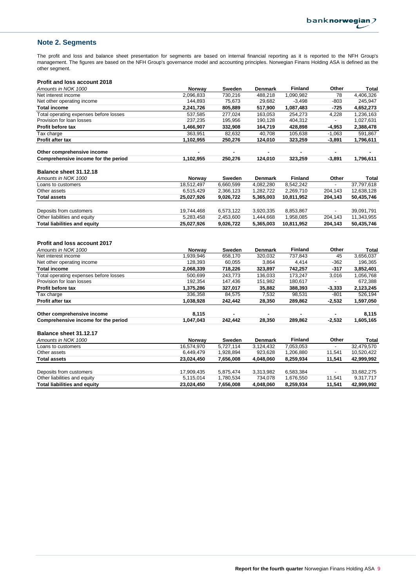**Other**

**Finland**

## **Note 2. Segments**

The profit and loss and balance sheet presentation for segments are based on internal financial reporting as it is reported to the NFH Group's management. The figures are based on the NFH Group's governance model and accounting principles. Norwegian Finans Holding ASA is defined as the other segment.

#### **Profit and loss account 2018**

**Balance sheet 31.12.17**

Other liabilities and equity

| Amounts in NOK 1000                    | Norway     | <b>Sweden</b> | <b>Denmark</b> | <b>Finland</b> | Other    | <b>Total</b> |
|----------------------------------------|------------|---------------|----------------|----------------|----------|--------------|
| Net interest income                    | 2,096,833  | 730,216       | 488,218        | 1,090,982      | 78       | 4,406,326    |
| Net other operating income             | 144,893    | 75,673        | 29,682         | $-3,498$       | $-803$   | 245,947      |
| <b>Total income</b>                    | 2,241,726  | 805,889       | 517,900        | 1,087,483      | $-725$   | 4,652,273    |
| Total operating expenses before losses | 537,585    | 277,024       | 163,053        | 254,273        | 4,228    | 1,236,163    |
| Provision for loan losses              | 237,235    | 195,956       | 190,128        | 404,312        |          | 1,027,631    |
| Profit before tax                      | 1,466,907  | 332,908       | 164,719        | 428,898        | $-4,953$ | 2,388,478    |
| Tax charge                             | 363,951    | 82,632        | 40,708         | 105,638        | $-1,063$ | 591,867      |
| Profit after tax                       | 1,102,955  | 250,276       | 124,010        | 323,259        | $-3,891$ | 1,796,611    |
| Other comprehensive income             |            |               |                |                |          |              |
| Comprehensive income for the period    | 1,102,955  | 250,276       | 124,010        | 323,259        | $-3,891$ | 1,796,611    |
| Balance sheet 31.12.18                 |            |               |                |                |          |              |
| Amounts in NOK 1000                    | Norway     | Sweden        | <b>Denmark</b> | <b>Finland</b> | Other    | <b>Total</b> |
| Loans to customers                     | 18,512,497 | 6,660,599     | 4,082,280      | 8,542,242      |          | 37,797,618   |
| Other assets                           | 6,515,429  | 2,366,123     | 1,282,722      | 2,269,710      | 204,143  | 12,638,128   |
| <b>Total assets</b>                    | 25,027,926 | 9,026,722     | 5,365,003      | 10,811,952     | 204,143  | 50,435,746   |
| Deposits from customers                | 19,744,468 | 6,573,122     | 3,920,335      | 8,853,867      |          | 39,091,791   |
| Other liabilities and equity           | 5,283,458  | 2,453,600     | 1,444,668      | 1,958,085      | 204,143  | 11,343,955   |
| <b>Total liabilities and equity</b>    | 25,027,926 | 9,026,722     | 5,365,003      | 10,811,952     | 204,143  | 50,435,746   |
|                                        |            |               |                |                |          |              |
| <b>Profit and loss account 2017</b>    |            |               |                |                |          |              |
| Amounts in NOK 1000                    | Norway     | Sweden        | <b>Denmark</b> | <b>Finland</b> | Other    | <b>Total</b> |
| Net interest income                    | 1,939,946  | 658,170       | 320,032        | 737,843        | 45       | 3,656,037    |
| Net other operating income             | 128,393    | 60,055        | 3,864          | 4,414          | $-362$   | 196,365      |
| <b>Total income</b>                    | 2,068,339  | 718,226       | 323,897        | 742,257        | $-317$   | 3,852,401    |
| Total operating expenses before losses | 500.699    | 243.773       | 136.033        | 173,247        | 3,016    | 1,056,768    |
| Provision for loan losses              | 192,354    | 147,436       | 151,982        | 180,617        |          | 672,388      |
| Profit before tax                      | 1,375,286  | 327,017       | 35,882         | 388,393        | $-3,333$ | 2,123,245    |
| Tax charge                             | 336.358    | 84.575        | 7.532          | 98.531         | $-801$   | 526,194      |

Tax charge 336,358 84,575 7,532 98,531 -801 526,194 **Profit after tax 1,038,928 242,442 28,350 289,862 -2,532 1,597,050**

Other comprehensive income **8,115**<br>
Comprehensive income for the period **1,047,043** 242,442 28,350 289,862 -2,532 1,605,165 **Comprehensive income for the period 1,047,043 242,442 28,350 289,862 -2,532 1,605,165**

*Amounts in NOK 1000* **Norway Sweden Denmark Total** Loans to customers 16,574,970 5,727,114 3,124,432 7,053,053 - 32,479,570<br>Other assets 6,449,479 1,928,894 923,628 1,206,880 11,541 10,520,422 Other assets 6,449,479 1,928,894 923,628 1,206,880 11,541 10,520,422 **Total assets 23,024,450 7,656,008 4,048,060 8,259,934 11,541 42,999,992**

Deposits from customers 17,909,435 5,875,474 3,313,982 6,583,384 - 33,682,275<br>Other liabilities and equity content in the state of the state of the state of the state of the state of the state of the state of the state of

**Total liabilities and equity 23,024,450 7,656,008 4,048,060 8,259,934 11,541 42,999,992**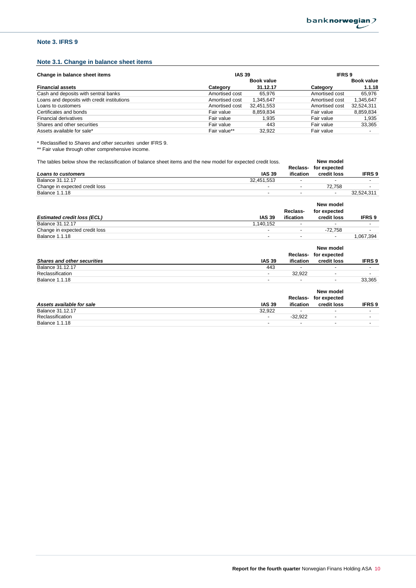## **Note 3. IFRS 9**

## **Note 3.1. Change in balance sheet items**

| <b>IAS 39</b><br>Change in balance sheet items |                |                   | <b>IFRS9</b>   |                          |  |  |
|------------------------------------------------|----------------|-------------------|----------------|--------------------------|--|--|
|                                                |                | <b>Book value</b> |                | Book value               |  |  |
| <b>Financial assets</b>                        | Category       | 31.12.17          | Category       | 1.1.18                   |  |  |
| Cash and deposits with sentral banks           | Amortised cost | 65.976            | Amortised cost | 65.976                   |  |  |
| Loans and deposits with credit institutions    | Amortised cost | 1.345.647         | Amortised cost | 1,345,647                |  |  |
| Loans to customers                             | Amortised cost | 32,451,553        | Amortised cost | 32,524,311               |  |  |
| Certificates and bonds                         | Fair value     | 8.859.834         | Fair value     | 8,859,834                |  |  |
| <b>Financial derivatives</b>                   | Fair value     | 1.935             | Fair value     | 1.935                    |  |  |
| Shares and other securities                    | Fair value     | 443               | Fair value     | 33,365                   |  |  |
| Assets available for sale*                     | Fair value**   | 32.922            | Fair value     | $\overline{\phantom{a}}$ |  |  |

\* Reclassified to *Shares and other securites* under IFRS 9.

\*\* Fair value through other comprehensive income.

| The tables below show the reclassification of balance sheet items and the new model for expected credit loss. |                |                          | New model                |                          |
|---------------------------------------------------------------------------------------------------------------|----------------|--------------------------|--------------------------|--------------------------|
|                                                                                                               |                | Reclass-                 | for expected             |                          |
| <b>Loans to customers</b>                                                                                     | <b>IAS 39</b>  | ification                | credit loss              | <b>IFRS 9</b>            |
| <b>Balance 31.12.17</b>                                                                                       | 32,451,553     |                          |                          |                          |
| Change in expected credit loss                                                                                |                | $\overline{\phantom{0}}$ | 72,758                   |                          |
| <b>Balance 1.1.18</b>                                                                                         | ۰              | $\overline{\phantom{0}}$ | -                        | 32,524,311               |
|                                                                                                               |                |                          | New model                |                          |
|                                                                                                               |                | Reclass-                 | for expected             |                          |
| <b>Estimated credit loss (ECL)</b>                                                                            | <b>IAS 39</b>  | ification                | credit loss              | <b>IFRS 9</b>            |
| <b>Balance 31.12.17</b>                                                                                       | 1,140,152      |                          |                          |                          |
| Change in expected credit loss                                                                                |                |                          | $-72,758$                |                          |
| <b>Balance 1.1.18</b>                                                                                         | ۰              | $\overline{\phantom{0}}$ |                          | 1,067,394                |
|                                                                                                               |                |                          | New model                |                          |
|                                                                                                               |                | Reclass-                 | for expected             |                          |
| <b>Shares and other securities</b>                                                                            | <b>IAS 39</b>  | ification                | credit loss              | <b>IFRS9</b>             |
| <b>Balance 31.12.17</b>                                                                                       | 443            |                          | ٠                        | $\overline{\phantom{0}}$ |
| Reclassification                                                                                              | Ξ.             | 32,922                   | $\overline{\phantom{0}}$ |                          |
| <b>Balance 1.1.18</b>                                                                                         | $\overline{a}$ |                          | ٠                        | 33,365                   |
|                                                                                                               |                |                          | New model                |                          |
|                                                                                                               |                | Reclass-                 | for expected             |                          |
| Assets available for sale                                                                                     | <b>IAS 39</b>  | ification                | credit loss              | <b>IFRS 9</b>            |

Balance 31.12.17 32,922 - - -

Reclassification - -32,922 - -

Balance  $1.1.18$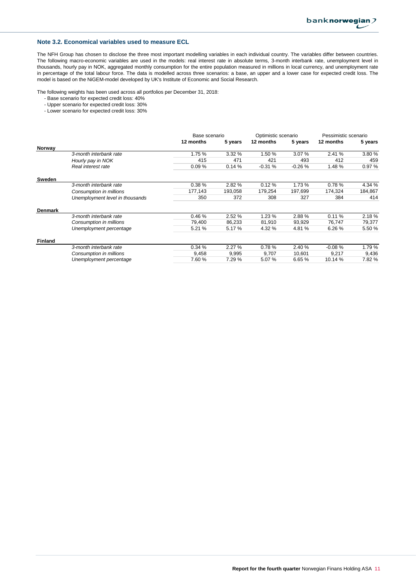### **Note 3.2. Economical variables used to measure ECL**

The NFH Group has chosen to disclose the three most important modelling variables in each individual country. The variables differ between countries. The following macro-economic variables are used in the models: real interest rate in absolute terms, 3-month interbank rate, unemployment level in thousands, hourly pay in NOK, aggregated monthly consumption for the entire population measured in millions in local currency, and unemployment rate in percentage of the total labour force. The data is modelled across three scenarios: a base, an upper and a lower case for expected credit loss. The model is based on the NiGEM-model developed by UK's Institute of Economic and Social Research.

The following weights has been used across all portfolios per December 31, 2018:

- Base scenario for expected credit loss: 40%
- Upper scenario for expected credit loss: 30%
- Lower scenario for expected credit loss: 30%

|                |                                 | Base scenario |         | Optimistic scenario |          | Pessimistic scenario |         |
|----------------|---------------------------------|---------------|---------|---------------------|----------|----------------------|---------|
|                |                                 | 12 months     | 5 years | 12 months           | 5 years  | 12 months            | 5 years |
| Norway         |                                 |               |         |                     |          |                      |         |
|                | 3-month interbank rate          | 1.75 %        | 3.32%   | 1.50 %              | 3.07%    | 2.41 %               | 3.80 %  |
|                | Hourly pay in NOK               | 415           | 471     | 421                 | 493      | 412                  | 459     |
|                | Real interest rate              | 0.09%         | 0.14%   | $-0.31%$            | $-0.26%$ | 1.48 %               | 0.97%   |
| Sweden         |                                 |               |         |                     |          |                      |         |
|                | 3-month interbank rate          | 0.38%         | 2.82 %  | 0.12%               | 1.73 %   | 0.78%                | 4.34 %  |
|                | Consumption in millions         | 177,143       | 193,058 | 179,254             | 197,699  | 174,324              | 184,867 |
|                | Unemployment level in thousands | 350           | 372     | 308                 | 327      | 384                  | 414     |
| <b>Denmark</b> |                                 |               |         |                     |          |                      |         |
|                | 3-month interbank rate          | 0.46%         | 2.52%   | 1.23%               | 2.88%    | 0.11%                | 2.18%   |
|                | Consumption in millions         | 79,400        | 86,233  | 81,910              | 93,929   | 76,747               | 79,377  |
|                | Unemployment percentage         | 5.21 %        | 5.17 %  | 4.32 %              | 4.81 %   | 6.26%                | 5.50 %  |
| <b>Finland</b> |                                 |               |         |                     |          |                      |         |
|                | 3-month interbank rate          | 0.34%         | 2.27%   | 0.78%               | 2.40 %   | $-0.08%$             | 1.79%   |
|                | Consumption in millions         | 9,458         | 9,995   | 9,707               | 10,601   | 9,217                | 9,436   |
|                | Unemployment percentage         | 7.60%         | 7.29 %  | 5.07 %              | 6.65%    | 10.14 %              | 7.82%   |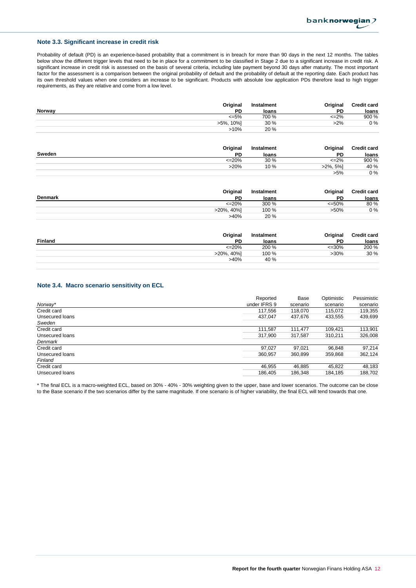## **Note 3.3. Significant increase in credit risk**

Probability of default (PD) is an experience-based probability that a commitment is in breach for more than 90 days in the next 12 months. The tables below show the different trigger levels that need to be in place for a commitment to be classified in Stage 2 due to a significant increase in credit risk. A significant increase in credit risk is assessed on the basis of several criteria, including late payment beyond 30 days after maturity. The most important factor for the assessment is a comparison between the original probability of default and the probability of default at the reporting date. Each product has its own threshold values when one considers an increase to be significant. Products with absolute low application PDs therefore lead to high trigger requirements, as they are relative and come from a low level.

|        | Original     | Instalment | Original  | <b>Credit card</b> |
|--------|--------------|------------|-----------|--------------------|
| Norway | PD           | loans      | PD        | loans              |
|        | $\leq 5\%$   | 700 %      | $\leq$ 2% | 900 %              |
|        | 10%1<br>>5%. | 30%        | $>2\%$    | 0 %                |
|        | >10%         | 20 %       |           |                    |

| Original     | Instalment | Original    | <b>Credit card</b> |
|--------------|------------|-------------|--------------------|
| Sweden<br>PD | loans      | PD          | loans              |
| <=20%        | 30%        | $\leq$ 2%   | 900 %              |
| >20%         | 10%        | $>2\%$ , 5% | 40 %               |
|              |            | $>5\%$      | 0%                 |

|         | Original       | Instalment | Original | <b>Credit card</b> |
|---------|----------------|------------|----------|--------------------|
| Denmark | PD             | loans      | PD       | loans              |
|         | $\leq$ 20%     | 300 %      | $<=50\%$ | 80 %               |
|         | $>20\%$ , 40%] | 100 %      | $>50\%$  | 0%                 |
|         | >40%           | 20 %       |          |                    |

|                | Original       | Instalment | Original  | <b>Credit card</b> |
|----------------|----------------|------------|-----------|--------------------|
| <b>Finland</b> | PD             | loans      | <b>PD</b> | loans              |
|                | $\leq$ 20%     | 200 %      | $<=30\%$  | 200 %              |
|                | $>20\%$ , 40%] | 100 %      | $>30\%$   | 30 %               |
|                | >40%           | 40 %       |           |                    |
|                |                |            |           |                    |

### **Note 3.4. Macro scenario sensitivity on ECL**

|                 | Reported     | Base     | Optimistic | Pessimistic |
|-----------------|--------------|----------|------------|-------------|
| Norway*         | under IFRS 9 | scenario | scenario   | scenario    |
| Credit card     | 117,556      | 118,070  | 115,072    | 119,355     |
| Unsecured loans | 437.047      | 437.676  | 433,555    | 439,699     |
| Sweden          |              |          |            |             |
| Credit card     | 111.587      | 111.477  | 109.421    | 113,901     |
| Unsecured loans | 317.900      | 317.587  | 310.211    | 326,008     |
| Denmark         |              |          |            |             |
| Credit card     | 97,027       | 97.021   | 96,848     | 97.214      |
| Unsecured loans | 360,957      | 360,899  | 359,868    | 362,124     |
| Finland         |              |          |            |             |
| Credit card     | 46,955       | 46,885   | 45,822     | 48,183      |
| Unsecured loans | 186.405      | 186,348  | 184,185    | 188,702     |

\* The final ECL is a macro-weighted ECL, based on 30% - 40% - 30% weighting given to the upper, base and lower scenarios. The outcome can be close to the Base scenario if the two scenarios differ by the same magnitude. If one scenario is of higher variability, the final ECL will tend towards that one.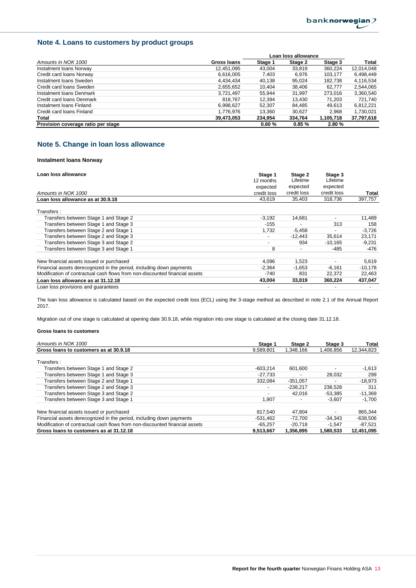## **Note 4. Loans to customers by product groups**

|                                    |             | Loan loss allowance |         |           |            |
|------------------------------------|-------------|---------------------|---------|-----------|------------|
| Amounts in NOK 1000                | Gross Ioans | Stage 1             | Stage 2 | Stage 3   | Total      |
| Instalment Ioans Norway            | 12,451,095  | 43.004              | 33,819  | 360.224   | 12,014,048 |
| Credit card loans Norway           | 6,616,005   | 7.403               | 6.976   | 103.177   | 6,498,449  |
| Instalment Ioans Sweden            | 4,434,434   | 40.138              | 95,024  | 182.738   | 4,116,534  |
| Credit card loans Sweden           | 2,655,652   | 10.404              | 38.406  | 62.777    | 2,544,065  |
| Instalment Ioans Denmark           | 3.721.497   | 55.944              | 31.997  | 273.016   | 3,360,540  |
| Credit card loans Denmark          | 818.767     | 12,394              | 13,430  | 71,203    | 721,740    |
| Instalment Ioans Finland           | 6.998.627   | 52.307              | 84.485  | 49.613    | 6,812,221  |
| Credit card loans Finland          | 1,776,976   | 13.360              | 30.627  | 2.968     | 1,730,021  |
| Total                              | 39,473,053  | 234.954             | 334,764 | 1,105,718 | 37,797,618 |
| Provision coverage ratio per stage |             | 0.60%               | 0.85%   | 2.80%     |            |

## **Note 5. Change in loan loss allowance**

#### **Instalment loans Norway**

| Loan loss allowance                                                         | Stage 1<br>12 months | Stage 2<br>Lifetime | Stage 3<br>Lifetime |           |
|-----------------------------------------------------------------------------|----------------------|---------------------|---------------------|-----------|
|                                                                             | expected             | expected            | expected            |           |
| Amounts in NOK 1000                                                         | credit loss          | credit loss         | credit loss         | Total     |
| Loan loss allowance as at 30.9.18                                           | 43.619               | 35.403              | 318.736             | 397,757   |
| Transfers:                                                                  |                      |                     |                     |           |
| Transfers between Stage 1 and Stage 2                                       | $-3,192$             | 14,681              |                     | 11,489    |
| Transfers between Stage 1 and Stage 3                                       | $-155$               |                     | 313                 | 158       |
| Transfers between Stage 2 and Stage 1                                       | 1,732                | $-5,458$            |                     | $-3,726$  |
| Transfers between Stage 2 and Stage 3                                       |                      | $-12,443$           | 35,614              | 23,171    |
| Transfers between Stage 3 and Stage 2                                       |                      | 934                 | $-10,165$           | $-9,231$  |
| Transfers between Stage 3 and Stage 1                                       | 8                    |                     | -485                | -476      |
| New financial assets issued or purchased                                    | 4,096                | 1,523               |                     | 5,619     |
| Financial assets derecognized in the period, including down payments        | $-2,364$             | $-1,653$            | $-6.161$            | $-10,178$ |
| Modification of contractual cash flows from non-discounted financial assets | -740                 | 831                 | 22,372              | 22,463    |
| Loan loss allowance as at 31.12.18                                          | 43,004               | 33,819              | 360,224             | 437,047   |
| Loan loss provisions and quarantees                                         |                      |                     |                     |           |

The loan loss allowance is calculated based on the expected credit loss (ECL) using the 3-stage method as described in note 2.1 of the Annual Report 2017.

Migration out of one stage is calculated at opening date 30.9.18, while migration into one stage is calculated at the closing date 31.12.18.

| Amounts in NOK 1000                                                         | Stage 1    | Stage 2    | Stage 3   | Total      |
|-----------------------------------------------------------------------------|------------|------------|-----------|------------|
| Gross loans to customers as at 30.9.18                                      | 9,589,801  | 1,348,166  | 1,406,856 | 12,344,823 |
| Transfers:                                                                  |            |            |           |            |
| Transfers between Stage 1 and Stage 2                                       | $-603.214$ | 601.600    |           | $-1,613$   |
| Transfers between Stage 1 and Stage 3                                       | $-27.733$  |            | 28.032    | 299        |
| Transfers between Stage 2 and Stage 1                                       | 332,084    | $-351,057$ |           | $-18,973$  |
| Transfers between Stage 2 and Stage 3                                       |            | $-238.217$ | 238,528   | 311        |
| Transfers between Stage 3 and Stage 2                                       |            | 42.016     | $-53.385$ | $-11,369$  |
| Transfers between Stage 3 and Stage 1                                       | 1,907      |            | $-3.607$  | $-1,700$   |
| New financial assets issued or purchased                                    | 817.540    | 47.804     |           | 865.344    |
| Financial assets derecognized in the period, including down payments        | $-531.462$ | $-72.700$  | $-34.343$ | $-638.506$ |
| Modification of contractual cash flows from non-discounted financial assets | $-65.257$  | -20.718    | $-1.547$  | -87,521    |
| Gross loans to customers as at 31.12.18                                     | 9.513.667  | 1.356.895  | 1.580.533 | 12.451.095 |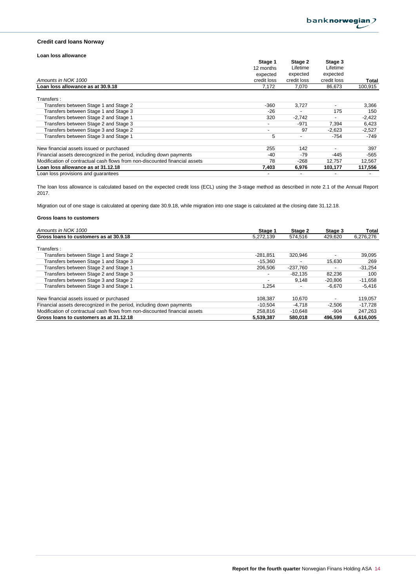### **Credit card loans Norway**

### **Loan loss allowance**

|                                                                             | Stage 1                  | Stage 2     | Stage 3     |          |
|-----------------------------------------------------------------------------|--------------------------|-------------|-------------|----------|
|                                                                             | 12 months                | Lifetime    | Lifetime    |          |
|                                                                             | expected                 | expected    | expected    |          |
| Amounts in NOK 1000                                                         | credit loss              | credit loss | credit loss | Total    |
| Loan loss allowance as at 30.9.18                                           | 7,172                    | 7,070       | 86,673      | 100,915  |
| Transfers:                                                                  |                          |             |             |          |
| Transfers between Stage 1 and Stage 2                                       | $-360$                   | 3,727       |             | 3,366    |
| Transfers between Stage 1 and Stage 3                                       | $-26$                    |             | 175         | 150      |
| Transfers between Stage 2 and Stage 1                                       | 320                      | $-2,742$    |             | $-2,422$ |
| Transfers between Stage 2 and Stage 3                                       | $\overline{\phantom{a}}$ | $-971$      | 7,394       | 6,423    |
| Transfers between Stage 3 and Stage 2                                       | $\overline{\phantom{a}}$ | 97          | $-2.623$    | $-2,527$ |
| Transfers between Stage 3 and Stage 1                                       | 5                        |             | $-754$      | -749     |
| New financial assets issued or purchased                                    | 255                      | 142         |             | 397      |
| Financial assets derecognized in the period, including down payments        | -40                      | $-79$       | -445        | $-565$   |
| Modification of contractual cash flows from non-discounted financial assets | 78                       | $-268$      | 12,757      | 12,567   |
| Loan loss allowance as at 31.12.18                                          | 7,403                    | 6.976       | 103.177     | 117,556  |
| Loan loss provisions and quarantees                                         |                          |             |             |          |

The loan loss allowance is calculated based on the expected credit loss (ECL) using the 3-stage method as described in note 2.1 of the Annual Report 2017.

Migration out of one stage is calculated at opening date 30.9.18, while migration into one stage is calculated at the closing date 31.12.18.

| Amounts in NOK 1000                                                         | Stage 1    | Stage 2    | Stage 3   | Total     |
|-----------------------------------------------------------------------------|------------|------------|-----------|-----------|
| Gross loans to customers as at 30.9.18                                      | 5,272,139  | 574.516    | 429,620   | 6,276,276 |
| Transfers:                                                                  |            |            |           |           |
| Transfers between Stage 1 and Stage 2                                       | $-281.851$ | 320.946    |           | 39,095    |
| Transfers between Stage 1 and Stage 3                                       | $-15,360$  |            | 15,630    | 269       |
| Transfers between Stage 2 and Stage 1                                       | 206,506    | $-237.760$ |           | $-31.254$ |
| Transfers between Stage 2 and Stage 3                                       |            | $-82.135$  | 82.236    | 100       |
| Transfers between Stage 3 and Stage 2                                       |            | 9.148      | $-20.806$ | $-11,658$ |
| Transfers between Stage 3 and Stage 1                                       | 1.254      |            | $-6.670$  | $-5.416$  |
| New financial assets issued or purchased                                    | 108,387    | 10.670     |           | 119,057   |
| Financial assets derecognized in the period, including down payments        | $-10.504$  | $-4.718$   | $-2.506$  | $-17,728$ |
| Modification of contractual cash flows from non-discounted financial assets | 258.816    | $-10.648$  | -904      | 247.263   |
| Gross loans to customers as at 31.12.18                                     | 5,539,387  | 580.018    | 496.599   | 6,616,005 |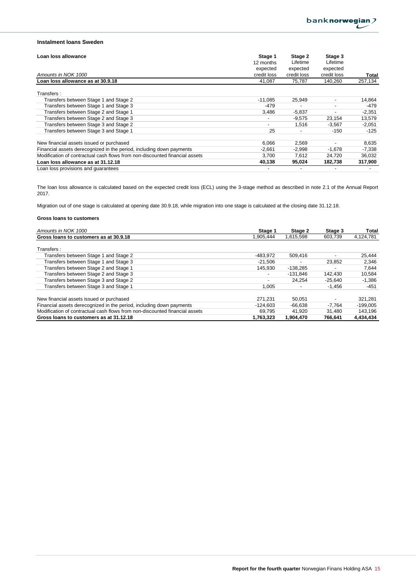## **Instalment loans Sweden**

| Loan loss allowance                                                         | Stage 1     | Stage 2     | Stage 3                  |          |
|-----------------------------------------------------------------------------|-------------|-------------|--------------------------|----------|
|                                                                             | 12 months   | Lifetime    | Lifetime                 |          |
|                                                                             | expected    | expected    | expected                 |          |
| Amounts in NOK 1000                                                         | credit loss | credit loss | credit loss              | Total    |
| Loan loss allowance as at 30.9.18                                           | 41,087      | 75,787      | 140,260                  | 257,134  |
| Transfers:                                                                  |             |             |                          |          |
| Transfers between Stage 1 and Stage 2                                       | $-11.085$   | 25,949      | ٠                        | 14,864   |
| Transfers between Stage 1 and Stage 3                                       | $-479$      |             | -                        | -479     |
| Transfers between Stage 2 and Stage 1                                       | 3.486       | $-5,837$    | $\overline{\phantom{0}}$ | $-2,351$ |
| Transfers between Stage 2 and Stage 3                                       |             | $-9.575$    | 23,154                   | 13,579   |
| Transfers between Stage 3 and Stage 2                                       |             | 1,516       | $-3,567$                 | $-2,051$ |
| Transfers between Stage 3 and Stage 1                                       | 25          |             | $-150$                   | $-125$   |
| New financial assets issued or purchased                                    | 6,066       | 2,569       |                          | 8,635    |
| Financial assets derecognized in the period, including down payments        | $-2,661$    | $-2,998$    | $-1,678$                 | $-7,338$ |
| Modification of contractual cash flows from non-discounted financial assets | 3,700       | 7,612       | 24,720                   | 36,032   |
| Loan loss allowance as at 31.12.18                                          | 40,138      | 95,024      | 182,738                  | 317,900  |
| Loan loss provisions and quarantees                                         |             |             |                          |          |

The loan loss allowance is calculated based on the expected credit loss (ECL) using the 3-stage method as described in note 2.1 of the Annual Report 2017.

Migration out of one stage is calculated at opening date 30.9.18, while migration into one stage is calculated at the closing date 31.12.18.

| Amounts in NOK 1000                                                         | Stage 1                  | Stage 2    | Stage 3   | Total      |
|-----------------------------------------------------------------------------|--------------------------|------------|-----------|------------|
| Gross loans to customers as at 30.9.18                                      | .905.444                 | 1.615.598  | 603.739   | 4,124,781  |
| Transfers:                                                                  |                          |            |           |            |
| Transfers between Stage 1 and Stage 2                                       | -483.972                 | 509.416    |           | 25,444     |
| Transfers between Stage 1 and Stage 3                                       | $-21.506$                |            | 23.852    | 2,346      |
| Transfers between Stage 2 and Stage 1                                       | 145.930                  | $-138.285$ |           | 7.644      |
| Transfers between Stage 2 and Stage 3                                       |                          | $-131.846$ | 142.430   | 10.584     |
| Transfers between Stage 3 and Stage 2                                       | $\overline{\phantom{a}}$ | 24.254     | $-25.640$ | $-1,386$   |
| Transfers between Stage 3 and Stage 1                                       | 1.005                    |            | $-1.456$  | $-451$     |
| New financial assets issued or purchased                                    | 271.231                  | 50.051     |           | 321,281    |
| Financial assets derecognized in the period, including down payments        | $-124.603$               | $-66.638$  | $-7.764$  | $-199.005$ |
| Modification of contractual cash flows from non-discounted financial assets | 69.795                   | 41.920     | 31.480    | 143.196    |
| Gross loans to customers as at 31.12.18                                     | 1,763,323                | 1,904,470  | 766.641   | 4,434,434  |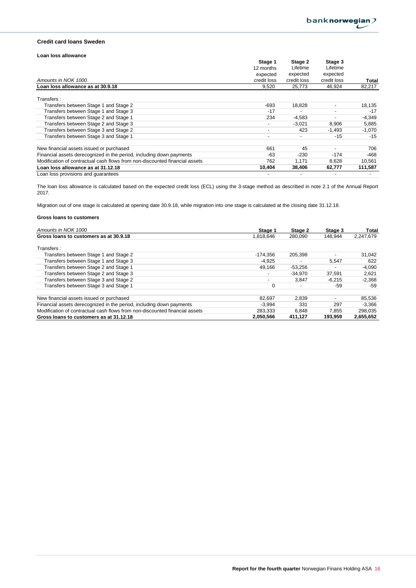### **Credit card loans Sweden**

### **Loan loss allowance**

|                                                                             | Stage 1                  | Stage 2     | Stage 3     |          |
|-----------------------------------------------------------------------------|--------------------------|-------------|-------------|----------|
|                                                                             | 12 months                | Lifetime    | Lifetime    |          |
|                                                                             | expected                 | expected    | expected    |          |
| Amounts in NOK 1000                                                         | credit loss              | credit loss | credit loss | Total    |
| Loan loss allowance as at 30.9.18                                           | 9,520                    | 25,773      | 46,924      | 82,217   |
| Transfers:                                                                  |                          |             |             |          |
| Transfers between Stage 1 and Stage 2                                       | -693                     | 18,828      | ٠           | 18,135   |
| Transfers between Stage 1 and Stage 3                                       | $-17$                    |             |             | $-17$    |
| Transfers between Stage 2 and Stage 1                                       | 234                      | $-4,583$    |             | $-4,349$ |
| Transfers between Stage 2 and Stage 3                                       | $\overline{\phantom{a}}$ | $-3,021$    | 8,906       | 5,885    |
| Transfers between Stage 3 and Stage 2                                       | $\overline{\phantom{a}}$ | 423         | $-1,493$    | $-1,070$ |
| Transfers between Stage 3 and Stage 1                                       | $\overline{\phantom{a}}$ |             | $-15$       | $-15$    |
| New financial assets issued or purchased                                    | 661                      | 45          |             | 706      |
| Financial assets derecognized in the period, including down payments        | -63                      | $-230$      | $-174$      | -468     |
| Modification of contractual cash flows from non-discounted financial assets | 762                      | 1,171       | 8,628       | 10,561   |
| Loan loss allowance as at 31.12.18                                          | 10,404                   | 38,406      | 62,777      | 111,587  |
| Loan loss provisions and quarantees                                         |                          |             |             |          |

The loan loss allowance is calculated based on the expected credit loss (ECL) using the 3-stage method as described in note 2.1 of the Annual Report 2017.

Migration out of one stage is calculated at opening date 30.9.18, while migration into one stage is calculated at the closing date 31.12.18.

| Amounts in NOK 1000                                                         | Stage 1   | Stage 2   | Stage 3                  | Total     |
|-----------------------------------------------------------------------------|-----------|-----------|--------------------------|-----------|
| Gross loans to customers as at 30.9.18                                      | 1.818.646 | 280.090   | 148.944                  | 2.247.679 |
| Transfers:                                                                  |           |           |                          |           |
| Transfers between Stage 1 and Stage 2                                       | -174.356  | 205.398   |                          | 31,042    |
| Transfers between Stage 1 and Stage 3                                       | $-4,925$  |           | 5,547                    | 622       |
| Transfers between Stage 2 and Stage 1                                       | 49.166    | $-53,256$ |                          | $-4,090$  |
| Transfers between Stage 2 and Stage 3                                       |           | $-34.970$ | 37.591                   | 2,621     |
| Transfers between Stage 3 and Stage 2                                       |           | 3.847     | $-6.215$                 | $-2,368$  |
| Transfers between Stage 3 and Stage 1                                       | 0         |           | -59                      | -59       |
| New financial assets issued or purchased                                    | 82.697    | 2.839     | $\overline{\phantom{0}}$ | 85,536    |
| Financial assets derecognized in the period, including down payments        | $-3.994$  | 331       | 297                      | $-3.366$  |
| Modification of contractual cash flows from non-discounted financial assets | 283.333   | 6.848     | 7,855                    | 298.035   |
| Gross loans to customers as at 31.12.18                                     | 2,050,566 | 411,127   | 193.959                  | 2,655,652 |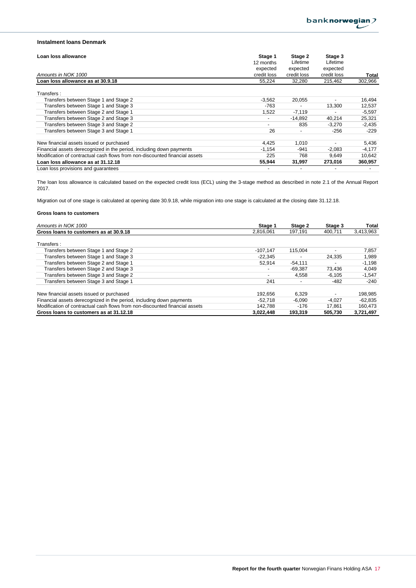## **Instalment loans Denmark**

| Loan loss allowance                                                         | Stage 1                  | Stage 2     | Stage 3     |          |
|-----------------------------------------------------------------------------|--------------------------|-------------|-------------|----------|
|                                                                             | 12 months                | Lifetime    | Lifetime    |          |
|                                                                             | expected                 | expected    | expected    |          |
| Amounts in NOK 1000                                                         | credit loss              | credit loss | credit loss | Total    |
| Loan loss allowance as at 30.9.18                                           | 55,224                   | 32,280      | 215,462     | 302,966  |
| Transfers:                                                                  |                          |             |             |          |
| Transfers between Stage 1 and Stage 2                                       | $-3,562$                 | 20,055      | ٠           | 16,494   |
| Transfers between Stage 1 and Stage 3                                       | $-763$                   |             | 13,300      | 12,537   |
| Transfers between Stage 2 and Stage 1                                       | 1,522                    | $-7,119$    |             | $-5,597$ |
| Transfers between Stage 2 and Stage 3                                       | $\overline{\phantom{a}}$ | $-14.892$   | 40,214      | 25,321   |
| Transfers between Stage 3 and Stage 2                                       | -                        | 835         | $-3,270$    | $-2,435$ |
| Transfers between Stage 3 and Stage 1                                       | 26                       |             | $-256$      | $-229$   |
| New financial assets issued or purchased                                    | 4.425                    | 1.010       |             | 5,436    |
| Financial assets derecognized in the period, including down payments        | $-1,154$                 | -941        | $-2,083$    | $-4,177$ |
| Modification of contractual cash flows from non-discounted financial assets | 225                      | 768         | 9,649       | 10,642   |
| Loan loss allowance as at 31.12.18                                          | 55.944                   | 31,997      | 273,016     | 360,957  |
| Loan loss provisions and quarantees                                         |                          |             |             |          |

The loan loss allowance is calculated based on the expected credit loss (ECL) using the 3-stage method as described in note 2.1 of the Annual Report 2017.

Migration out of one stage is calculated at opening date 30.9.18, while migration into one stage is calculated at the closing date 31.12.18.

| Amounts in NOK 1000                                                         | Stage 1                  | Stage 2   | Stage 3  | Total     |
|-----------------------------------------------------------------------------|--------------------------|-----------|----------|-----------|
| Gross loans to customers as at 30.9.18                                      | 2.816.061                | 197.191   | 400.711  | 3,413,963 |
| Transfers:                                                                  |                          |           |          |           |
| Transfers between Stage 1 and Stage 2                                       | $-107.147$               | 115.004   |          | 7,857     |
| Transfers between Stage 1 and Stage 3                                       | $-22.345$                |           | 24,335   | 1,989     |
| Transfers between Stage 2 and Stage 1                                       | 52.914                   | $-54.111$ |          | $-1,198$  |
| Transfers between Stage 2 and Stage 3                                       | $\overline{\phantom{0}}$ | $-69.387$ | 73,436   | 4,049     |
| Transfers between Stage 3 and Stage 2                                       | $\overline{\phantom{0}}$ | 4.558     | $-6.105$ | $-1,547$  |
| Transfers between Stage 3 and Stage 1                                       | 241                      |           | $-482$   | $-240$    |
| New financial assets issued or purchased                                    | 192.656                  | 6.329     |          | 198,985   |
| Financial assets derecognized in the period, including down payments        | $-52.718$                | $-6,090$  | $-4.027$ | -62,835   |
| Modification of contractual cash flows from non-discounted financial assets | 142.788                  | $-176$    | 17.861   | 160,473   |
| Gross loans to customers as at 31.12.18                                     | 3.022.448                | 193.319   | 505.730  | 3,721,497 |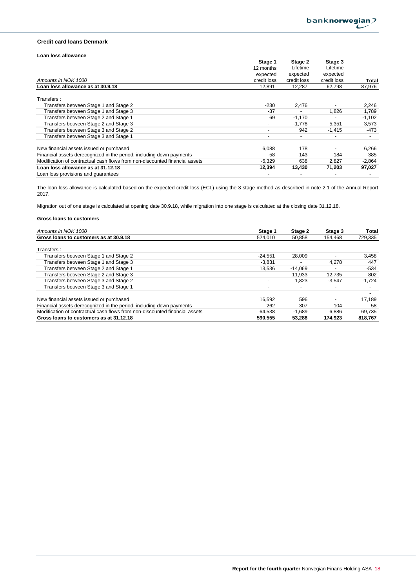### **Credit card loans Denmark**

### **Loan loss allowance**

|                                                                             | Stage 1                  | Stage 2        | Stage 3     |                          |
|-----------------------------------------------------------------------------|--------------------------|----------------|-------------|--------------------------|
|                                                                             | 12 months                | Lifetime       | Lifetime    |                          |
|                                                                             | expected                 | expected       | expected    |                          |
| Amounts in NOK 1000                                                         | credit loss              | credit loss    | credit loss | Total                    |
| Loan loss allowance as at 30.9.18                                           | 12.891                   | 12.287         | 62,798      | 87,976                   |
| Transfers:                                                                  |                          |                |             |                          |
| Transfers between Stage 1 and Stage 2                                       | $-230$                   | 2,476          |             | 2,246                    |
| Transfers between Stage 1 and Stage 3                                       | $-37$                    |                | 1,826       | 1,789                    |
| Transfers between Stage 2 and Stage 1                                       | 69                       | $-1,170$       |             | $-1,102$                 |
| Transfers between Stage 2 and Stage 3                                       | $\blacksquare$           | $-1.778$       | 5,351       | 3,573                    |
| Transfers between Stage 3 and Stage 2                                       | $\overline{\phantom{a}}$ | 942            | $-1,415$    | -473                     |
| Transfers between Stage 3 and Stage 1                                       | $\overline{\phantom{a}}$ | $\overline{a}$ |             | $\overline{\phantom{a}}$ |
| New financial assets issued or purchased                                    | 6,088                    | 178            |             | 6,266                    |
| Financial assets derecognized in the period, including down payments        | $-58$                    | $-143$         | $-184$      | $-385$                   |
| Modification of contractual cash flows from non-discounted financial assets | $-6,329$                 | 638            | 2,827       | $-2,864$                 |
| Loan loss allowance as at 31.12.18                                          | 12,394                   | 13,430         | 71,203      | 97,027                   |
| Loan loss provisions and quarantees                                         |                          |                |             |                          |

The loan loss allowance is calculated based on the expected credit loss (ECL) using the 3-stage method as described in note 2.1 of the Annual Report 2017.

Migration out of one stage is calculated at opening date 30.9.18, while migration into one stage is calculated at the closing date 31.12.18.

| Amounts in NOK 1000                                                         | Stage 1                  | Stage 2   | Stage 3                  | Total    |
|-----------------------------------------------------------------------------|--------------------------|-----------|--------------------------|----------|
| Gross loans to customers as at 30.9.18                                      | 524.010                  | 50,858    | 154.468                  | 729,335  |
| Transfers:                                                                  |                          |           |                          |          |
| Transfers between Stage 1 and Stage 2                                       | $-24.551$                | 28.009    | $\overline{\phantom{0}}$ | 3,458    |
| Transfers between Stage 1 and Stage 3                                       | $-3.831$                 |           | 4.278                    | 447      |
| Transfers between Stage 2 and Stage 1                                       | 13.536                   | $-14,069$ |                          | $-534$   |
| Transfers between Stage 2 and Stage 3                                       | $\overline{\phantom{a}}$ | $-11.933$ | 12.735                   | 802      |
| Transfers between Stage 3 and Stage 2                                       | $\overline{\phantom{a}}$ | 1.823     | $-3.547$                 | $-1,724$ |
| Transfers between Stage 3 and Stage 1                                       | $\overline{\phantom{a}}$ |           |                          |          |
| New financial assets issued or purchased                                    | 16.592                   | 596       |                          | 17.189   |
| Financial assets derecognized in the period, including down payments        | 262                      | $-307$    | 104                      | 58       |
| Modification of contractual cash flows from non-discounted financial assets | 64.538                   | $-1,689$  | 6,886                    | 69.735   |
| Gross loans to customers as at 31.12.18                                     | 590.555                  | 53.288    | 174.923                  | 818,767  |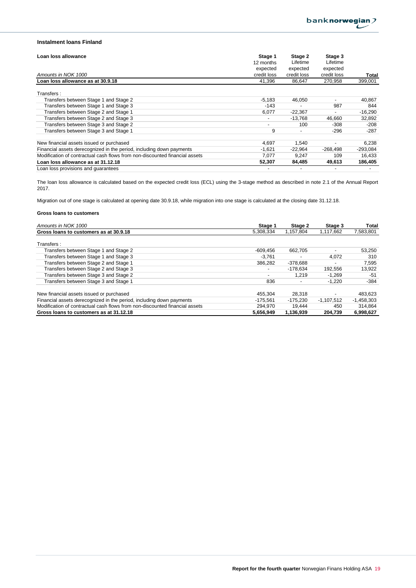## **Instalment loans Finland**

| Loan loss allowance                                                         | Stage 1                  | Stage 2     | Stage 3                  |            |
|-----------------------------------------------------------------------------|--------------------------|-------------|--------------------------|------------|
|                                                                             | 12 months                | Lifetime    | Lifetime                 |            |
|                                                                             | expected                 | expected    | expected                 |            |
| Amounts in NOK 1000                                                         | credit loss              | credit loss | credit loss              | Total      |
| Loan loss allowance as at 30.9.18                                           | 41.396                   | 86.647      | 270.958                  | 399,001    |
| Transfers:                                                                  |                          |             |                          |            |
| Transfers between Stage 1 and Stage 2                                       | $-5,183$                 | 46,050      | $\overline{\phantom{0}}$ | 40,867     |
| Transfers between Stage 1 and Stage 3                                       | $-143$                   |             | 987                      | 844        |
| Transfers between Stage 2 and Stage 1                                       | 6,077                    | $-22,367$   | ٠                        | $-16,290$  |
| Transfers between Stage 2 and Stage 3                                       | $\overline{\phantom{a}}$ | $-13.768$   | 46,660                   | 32,892     |
| Transfers between Stage 3 and Stage 2                                       | $\overline{\phantom{a}}$ | 100         | $-308$                   | $-208$     |
| Transfers between Stage 3 and Stage 1                                       | 9                        |             | $-296$                   | $-287$     |
| New financial assets issued or purchased                                    | 4,697                    | 1,540       |                          | 6,238      |
| Financial assets derecognized in the period, including down payments        | $-1,621$                 | $-22.964$   | $-268.498$               | $-293,084$ |
| Modification of contractual cash flows from non-discounted financial assets | 7,077                    | 9,247       | 109                      | 16,433     |
| Loan loss allowance as at 31.12.18                                          | 52.307                   | 84.485      | 49,613                   | 186,405    |
| Loan loss provisions and quarantees                                         |                          |             |                          |            |

The loan loss allowance is calculated based on the expected credit loss (ECL) using the 3-stage method as described in note 2.1 of the Annual Report 2017.

Migration out of one stage is calculated at opening date 30.9.18, while migration into one stage is calculated at the closing date 31.12.18.

| Amounts in NOK 1000                                                         | Stage 1                  | Stage 2    | Stage 3      | Total        |
|-----------------------------------------------------------------------------|--------------------------|------------|--------------|--------------|
| Gross loans to customers as at 30.9.18                                      | 5,308,334                | 1.157.804  | 1.117.662    | 7,583,801    |
| Transfers:                                                                  |                          |            |              |              |
| Transfers between Stage 1 and Stage 2                                       | $-609.456$               | 662.705    |              | 53,250       |
| Transfers between Stage 1 and Stage 3                                       | $-3.761$                 |            | 4.072        | 310          |
| Transfers between Stage 2 and Stage 1                                       | 386.282                  | $-378,688$ |              | 7,595        |
| Transfers between Stage 2 and Stage 3                                       | $\overline{\phantom{a}}$ | $-178.634$ | 192.556      | 13,922       |
| Transfers between Stage 3 and Stage 2                                       | $\overline{\phantom{a}}$ | 1.219      | $-1.269$     | -51          |
| Transfers between Stage 3 and Stage 1                                       | 836                      |            | $-1.220$     | $-384$       |
| New financial assets issued or purchased                                    | 455.304                  | 28.318     |              | 483,623      |
| Financial assets derecognized in the period, including down payments        | -175.561                 | -175.230   | $-1.107.512$ | $-1,458,303$ |
| Modification of contractual cash flows from non-discounted financial assets | 294.970                  | 19.444     | 450          | 314.864      |
| Gross loans to customers as at 31.12.18                                     | 5.656.949                | 1.136.939  | 204.739      | 6.998.627    |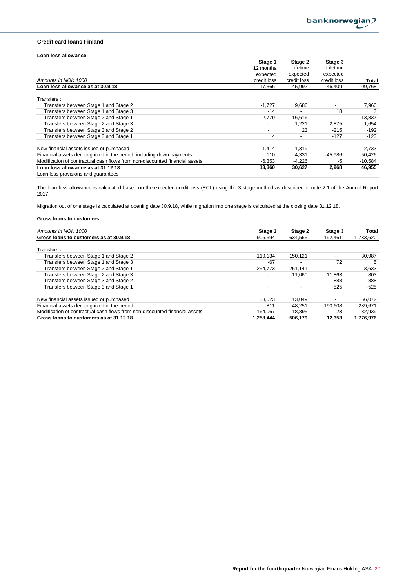### **Credit card loans Finland**

### **Loan loss allowance**

|                                                                             | Stage 1                  | Stage 2                  | Stage 3     |           |
|-----------------------------------------------------------------------------|--------------------------|--------------------------|-------------|-----------|
|                                                                             | 12 months                | Lifetime                 | Lifetime    |           |
|                                                                             | expected                 | expected                 | expected    |           |
| Amounts in NOK 1000                                                         | credit loss              | credit loss              | credit loss | Total     |
| Loan loss allowance as at 30.9.18                                           | 17,366                   | 45,992                   | 46,409      | 109,768   |
| Transfers:                                                                  |                          |                          |             |           |
| Transfers between Stage 1 and Stage 2                                       | $-1,727$                 | 9.686                    |             | 7,960     |
| Transfers between Stage 1 and Stage 3                                       | $-14$                    |                          | 18          |           |
| Transfers between Stage 2 and Stage 1                                       | 2,779                    | $-16,616$                |             | $-13,837$ |
| Transfers between Stage 2 and Stage 3                                       | $\overline{\phantom{a}}$ | $-1,221$                 | 2,875       | 1,654     |
| Transfers between Stage 3 and Stage 2                                       | $\overline{\phantom{a}}$ | 23                       | $-215$      | $-192$    |
| Transfers between Stage 3 and Stage 1                                       | 4                        | $\overline{\phantom{0}}$ | $-127$      | -123      |
| New financial assets issued or purchased                                    | 1,414                    | 1,319                    |             | 2,733     |
| Financial assets derecognized in the period, including down payments        | $-110$                   | $-4,331$                 | -45,986     | $-50,426$ |
| Modification of contractual cash flows from non-discounted financial assets | $-6,353$                 | $-4,226$                 | -5          | $-10,584$ |
| Loan loss allowance as at 31.12.18                                          | 13,360                   | 30,627                   | 2,968       | 46,955    |
| Loan loss provisions and quarantees                                         |                          |                          |             |           |

The loan loss allowance is calculated based on the expected credit loss (ECL) using the 3-stage method as described in note 2.1 of the Annual Report 2017.

Migration out of one stage is calculated at opening date 30.9.18, while migration into one stage is calculated at the closing date 31.12.18.

| Amounts in NOK 1000                                                         | Stage 1                  | Stage 2    | Stage 3                  | Total      |
|-----------------------------------------------------------------------------|--------------------------|------------|--------------------------|------------|
| Gross loans to customers as at 30.9.18                                      | 906.594                  | 634.565    | 192.461                  | 1,733,620  |
|                                                                             |                          |            |                          |            |
| Transfers:                                                                  |                          |            |                          |            |
| Transfers between Stage 1 and Stage 2                                       | $-119.134$               | 150.121    | $\overline{\phantom{0}}$ | 30,987     |
| Transfers between Stage 1 and Stage 3                                       | -67                      |            | 72                       | 5          |
| Transfers between Stage 2 and Stage 1                                       | 254.773                  | $-251,141$ |                          | 3,633      |
| Transfers between Stage 2 and Stage 3                                       | $\overline{\phantom{0}}$ | $-11.060$  | 11,863                   | 803        |
| Transfers between Stage 3 and Stage 2                                       | $\overline{\phantom{a}}$ |            | $-888$                   | -888       |
| Transfers between Stage 3 and Stage 1                                       | $\overline{\phantom{0}}$ |            | $-525$                   | $-525$     |
| New financial assets issued or purchased                                    | 53.023                   | 13.049     |                          | 66.072     |
|                                                                             |                          |            |                          |            |
| Financial assets derecognized in the period                                 | -811                     | $-48.251$  | $-190.608$               | $-239.671$ |
| Modification of contractual cash flows from non-discounted financial assets | 164.067                  | 18,895     | -23                      | 182,939    |
| Gross loans to customers as at 31.12.18                                     | 1,258,444                | 506.179    | 12.353                   | 1,776,976  |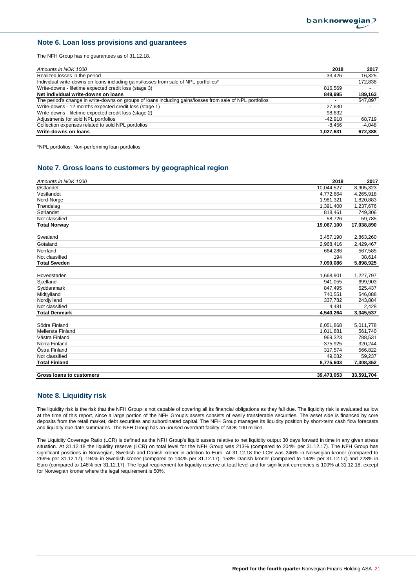## **Note 6. Loan loss provisions and guarantees**

The NFH Group has no guarantees as of 31.12.18.

| Amounts in NOK 1000                                                                                      | 2018      | 2017     |
|----------------------------------------------------------------------------------------------------------|-----------|----------|
| Realized losses in the period                                                                            | 33,426    | 16.325   |
| Individual write-downs on loans including gains/losses from sale of NPL portfolios*                      |           | 172,838  |
| Write-downs - lifetime expected credit loss (stage 3)                                                    | 816.569   |          |
| Net individual write-downs on loans                                                                      | 849.995   | 189,163  |
| The period's change in write-downs on groups of loans including gains/losses from sale of NPL portfolios |           | 547,897  |
| Write-downs - 12 months expected credit loss (stage 1)                                                   | 27,630    |          |
| Write-downs - lifetime expected credit loss (stage 2)                                                    | 98,632    |          |
| Adjustments for sold NPL portfolios                                                                      | -42.918   | 68.719   |
| Collection expenses related to sold NPL portfolios                                                       | -8.456    | $-4.048$ |
| Write-downs on loans                                                                                     | 1,027,631 | 672,388  |

\*NPL portfolios: Non-performing loan portfolios

## **Note 7. Gross loans to customers by geographical region**

| Amounts in NOK 1000      | 2018       | 2017       |
|--------------------------|------------|------------|
| Østlandet                | 10,044,527 | 8,905,323  |
| Vestlandet               | 4,772,664  | 4,265,918  |
| Nord-Norge               | 1,981,321  | 1,820,883  |
| Trøndelag                | 1,391,400  | 1,237,676  |
| Sørlandet                | 818,461    | 749,306    |
| Not classified           | 58,726     | 59,785     |
| <b>Total Norway</b>      | 19,067,100 | 17,038,890 |
|                          |            |            |
| Svealand                 | 3,457,190  | 2,863,260  |
| Götaland                 | 2,968,416  | 2,429,467  |
| Norrland                 | 664.286    | 567,585    |
| Not classified           | 194        | 38,614     |
| <b>Total Sweden</b>      | 7,090,086  | 5,898,925  |
|                          |            |            |
| Hovedstaden              | 1,668,901  | 1,227,797  |
| Sjælland                 | 941,055    | 699,903    |
| Syddanmark               | 847,495    | 625,437    |
| Midtjylland              | 740,551    | 546,088    |
| Nordjylland              | 337,782    | 243,884    |
| Not classified           | 4,481      | 2,428      |
| <b>Total Denmark</b>     | 4,540,264  | 3,345,537  |
|                          |            |            |
| Södra Finland            | 6,051,868  | 5,011,778  |
| Mellersta Finland        | 1,011,881  | 561,740    |
| Västra Finland           | 969,323    | 788,531    |
| Norra Finland            | 375,925    | 320,244    |
| Östra Finland            | 317,574    | 566,822    |
| Not classified           | 49,032     | 59,237     |
| <b>Total Finland</b>     | 8,775,603  | 7,308,352  |
| Gross loans to customers | 39.473.053 | 33,591,704 |

## **Note 8. Liquidity risk**

The liquidity risk is the risk that the NFH Group is not capable of covering all its financial obligations as they fall due. The liquidity risk is evaluated as low at the time of this report, since a large portion of the NFH Group's assets consists of easily transferable securities. The asset side is financed by core deposits from the retail market, debt securities and subordinated capital. The NFH Group manages its liquidity position by short-term cash flow forecasts and liquidity due date summaries. The NFH Group has an unused overdraft facility of NOK 100 million.

The Liquidity Coverage Ratio (LCR) is defined as the NFH Group's liquid assets relative to net liquidity output 30 days forward in time in any given stress situation. At 31.12.18 the liquidity reserve (LCR) on total level for the NFH Group was 213% (compared to 204% per 31.12.17). The NFH Group has significant positions in Norwegian, Swedish and Danish kroner in addition to Euro. At 31.12.18 the LCR was 246% in Norwegian kroner (compared to 269% per 31.12.17), 194% in Swedish kroner (compared to 144% per 31.12.17), 158% Danish kroner (compared to 144% per 31.12.17) and 228% in Euro (compared to 148% per 31.12.17). The legal requirement for liquidity reserve at total level and for significant currencies is 100% at 31.12.18, except for Norwegian kroner where the legal requirement is 50%.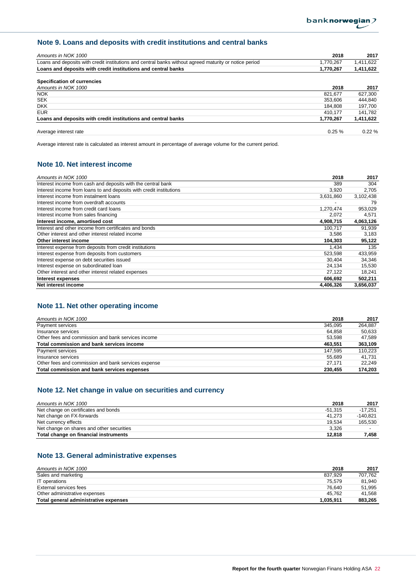## **Note 9. Loans and deposits with credit institutions and central banks**

| Amounts in NOK 1000                                                                                    | 2018      | 2017      |
|--------------------------------------------------------------------------------------------------------|-----------|-----------|
| Loans and deposits with credit institutions and central banks without agreed maturity or notice period | 1,770,267 | 1,411,622 |
| Loans and deposits with credit institutions and central banks                                          | 1,770,267 | 1,411,622 |
| Specification of currencies                                                                            |           |           |
| Amounts in NOK 1000                                                                                    | 2018      | 2017      |
| <b>NOK</b>                                                                                             | 821.677   | 627,300   |
| <b>SEK</b>                                                                                             | 353.606   | 444,840   |
| <b>DKK</b>                                                                                             | 184.808   | 197.700   |
| <b>EUR</b>                                                                                             | 410.177   | 141,782   |
| Loans and deposits with credit institutions and central banks                                          | 1.770.267 | 1,411,622 |
| Average interest rate                                                                                  | $0.25 \%$ | $0.22 \%$ |

Average interest rate is calculated as interest amount in percentage of average volume for the current period.

## **Note 10. Net interest income**

| Amounts in NOK 1000                                                 | 2018      | 2017      |
|---------------------------------------------------------------------|-----------|-----------|
| Interest income from cash and deposits with the central bank        | 389       | 304       |
| Interest income from loans to and deposits with credit institutions | 3,920     | 2,705     |
| Interest income from instalment loans                               | 3,631,860 | 3,102,438 |
| Interest income from overdraft accounts                             |           | 79        |
| Interest income from credit card loans                              | 1,270,474 | 953,029   |
| Interest income from sales financing                                | 2,072     | 4,571     |
| Interest income, amortised cost                                     | 4,908,715 | 4,063,126 |
| Interest and other income from certificates and bonds               | 100.717   | 91,939    |
| Other interest and other interest related income                    | 3,586     | 3,183     |
| Other interest income                                               | 104,303   | 95,122    |
| Interest expense from deposits from credit institutions             | 1.434     | 135       |
| Interest expense from deposits from customers                       | 523,598   | 433,959   |
| Interest expense on debt securities issued                          | 30,404    | 34,346    |
| Interest expense on subordinated loan                               | 24,134    | 15,530    |
| Other interest and other interest related expenses                  | 27,122    | 18,241    |
| Interest expenses                                                   | 606,692   | 502,211   |
| Net interest income                                                 | 4,406,326 | 3,656,037 |

## **Note 11. Net other operating income**

| Amounts in NOK 1000                                 | 2018    | 2017    |
|-----------------------------------------------------|---------|---------|
| Payment services                                    | 345.095 | 264.887 |
| Insurance services                                  | 64.858  | 50.633  |
| Other fees and commission and bank services income  | 53.598  | 47.589  |
| Total commission and bank services income           | 463.551 | 363.109 |
| Payment services                                    | 147.595 | 110.223 |
| Insurance services                                  | 55.689  | 41.731  |
| Other fees and commission and bank services expense | 27.171  | 22.249  |
| Total commission and bank services expenses         | 230.455 | 174.203 |

## **Note 12. Net change in value on securities and currency**

| Amounts in NOK 1000                       | 2018      | 2017                     |
|-------------------------------------------|-----------|--------------------------|
| Net change on certificates and bonds      | $-51.315$ | $-17.251$                |
| Net change on FX-forwards                 | 41.273    | $-140.821$               |
| Net currency effects                      | 19.534    | 165.530                  |
| Net change on shares and other securities | 3.326     | $\overline{\phantom{a}}$ |
| Total change on financial instruments     | 12.818    | 7.458                    |

## **Note 13. General administrative expenses**

| Amounts in NOK 1000                   | 2018      | 2017    |
|---------------------------------------|-----------|---------|
| Sales and marketing                   | 837.929   | 707.762 |
| IT operations                         | 75.579    | 81.940  |
| External services fees                | 76.640    | 51.995  |
| Other administrative expenses         | 45.762    | 41.568  |
| Total general administrative expenses | 1.035.911 | 883.265 |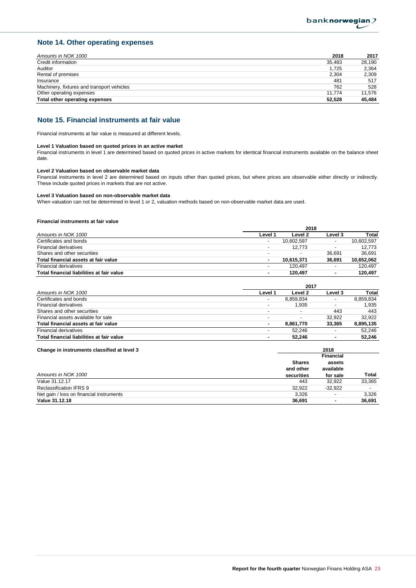## **Note 14. Other operating expenses**

| Amounts in NOK 1000                        | 2018   | 2017   |
|--------------------------------------------|--------|--------|
| Credit information                         | 35.483 | 28.190 |
| Auditor                                    | 1.725  | 2,364  |
| Rental of premises                         | 2.304  | 2.309  |
| Insurance                                  | 481    | 517    |
| Machinery, fixtures and transport vehicles | 762    | 528    |
| Other operating expenses                   | 11.774 | 11.576 |
| Total other operating expenses             | 52.528 | 45.484 |

## **Note 15. Financial instruments at fair value**

Financial instruments at fair value is measured at different levels.

#### **Level 1 Valuation based on quoted prices in an active market**

Financial instruments in level 1 are determined based on quoted prices in active markets for identical financial instruments available on the balance sheet date.

#### **Level 2 Valuation based on observable market data**

Financial instruments in level 2 are determined based on inputs other than quoted prices, but where prices are observable either directly or indirectly. These include quoted prices in markets that are not active.

#### **Level 3 Valuation based on non-observable market data**

When valuation can not be determined in level 1 or 2, valuation methods based on non-observable market data are used.

#### **Financial instruments at fair value**

|                                           | 2018                     |                          |         |            |
|-------------------------------------------|--------------------------|--------------------------|---------|------------|
| Amounts in NOK 1000                       | Level 1                  | Level 2                  | Level 3 | Total      |
| Certificates and bonds                    | $\overline{\phantom{a}}$ | 10.602.597               |         | 10.602.597 |
| <b>Financial derivatives</b>              | $\overline{\phantom{a}}$ | 12.773                   |         | 12.773     |
| Shares and other securities               | $\overline{\phantom{a}}$ | $\overline{\phantom{0}}$ | 36.691  | 36.691     |
| Total financial assets at fair value      | ٠                        | 10.615.371               | 36.691  | 10,652,062 |
| Financial derivatives                     | $\overline{\phantom{a}}$ | 120.497                  |         | 120.497    |
| Total financial liabilities at fair value | ۰                        | 120.497                  | ٠       | 120.497    |

|                                           | 2017                     |           |                          |           |
|-------------------------------------------|--------------------------|-----------|--------------------------|-----------|
| Amounts in NOK 1000                       | Level 1                  | Level 2   | Level 3                  | Total     |
| Certificates and bonds                    |                          | 8.859.834 | $\overline{\phantom{0}}$ | 8.859.834 |
| Financial derivatives                     | . .                      | 1.935     | $\overline{\phantom{0}}$ | 1.935     |
| Shares and other securities               |                          |           | 443                      | 443       |
| Financial assets available for sale       | $\overline{\phantom{0}}$ |           | 32.922                   | 32.922    |
| Total financial assets at fair value      | $\overline{\phantom{a}}$ | 8.861.770 | 33.365                   | 8.895.135 |
| <b>Financial derivatives</b>              |                          | 52.246    | $\overline{\phantom{0}}$ | 52.246    |
| Total financial liabilities at fair value |                          | 52.246    |                          | 52.246    |

|               | 2018             |        |
|---------------|------------------|--------|
|               | <b>Financial</b> |        |
| <b>Shares</b> | assets           |        |
| and other     | available        |        |
| securities    | for sale         | Total  |
| 443           | 32.922           | 33.365 |
| 32.922        | $-32.922$        |        |
| 3,326         |                  | 3.326  |
| 36,691        | ۰                | 36.691 |
|               |                  |        |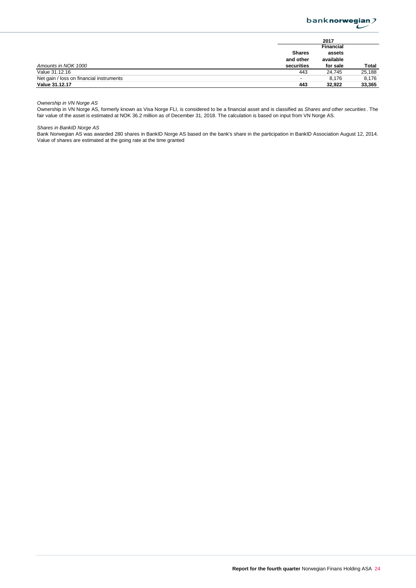

|                                          | 2017                     |           |        |
|------------------------------------------|--------------------------|-----------|--------|
|                                          |                          | Financial |        |
|                                          | <b>Shares</b>            | assets    |        |
|                                          | and other                | available |        |
| Amounts in NOK 1000                      | securities               | for sale  | Total  |
| Value 31.12.16                           | 443                      | 24.745    | 25,188 |
| Net gain / loss on financial instruments | $\overline{\phantom{a}}$ | 8.176     | 8.176  |
| Value 31.12.17                           | 443                      | 32.922    | 33,365 |

*Ownership in VN Norge AS*

Ownership in VN Norge AS, formerly known as Visa Norge FLI, is considered to be a financial asset and is classified as *Shares and other securities* . The fair value of the asset is estimated at NOK 36.2 million as of December 31, 2018. The calculation is based on input from VN Norge AS.

*Shares in BankID Norge AS*

Bank Norwegian AS was awarded 280 shares in BankID Norge AS based on the bank's share in the participation in BankID Association August 12, 2014. Value of shares are estimated at the going rate at the time granted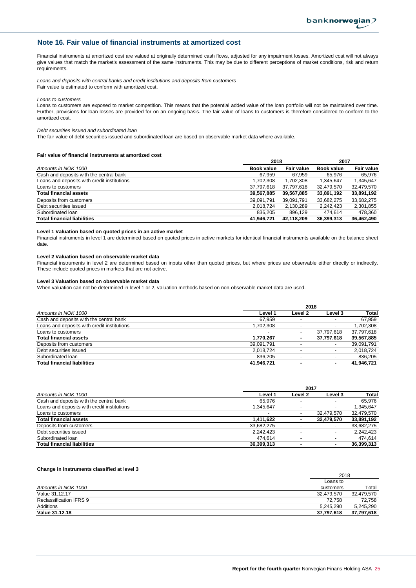## **Note 16. Fair value of financial instruments at amortized cost**

Financial instruments at amortized cost are valued at originally determined cash flows, adjusted for any impairment losses. Amortized cost will not always give values that match the market's assessment of the same instruments. This may be due to different perceptions of market conditions, risk and return requirements.

*Loans and deposits with central banks and credit institutions and deposits from customers* Fair value is estimated to conform with amortized cost.

*Loans to customers*

Loans to customers are exposed to market competition. This means that the potential added value of the loan portfolio will not be maintained over time. Further, provisions for loan losses are provided for on an ongoing basis. The fair value of loans to customers is therefore considered to conform to the amortized cost.

#### *Debt securities issued and subordinated loan*

The fair value of debt securities issued and subordinated loan are based on observable market data where available.

#### **Fair value of financial instruments at amortized cost**

|                                             | 2018       |                   | 2017       |                   |  |  |
|---------------------------------------------|------------|-------------------|------------|-------------------|--|--|
| Amounts in NOK 1000                         | Book value | <b>Fair value</b> | Book value | <b>Fair value</b> |  |  |
| Cash and deposits with the central bank     | 67.959     | 67.959            | 65.976     | 65.976            |  |  |
| Loans and deposits with credit institutions | 1,702,308  | 1,702,308         | 1,345,647  | 1,345,647         |  |  |
| Loans to customers                          | 37,797,618 | 37,797,618        | 32.479.570 | 32,479,570        |  |  |
| <b>Total financial assets</b>               | 39,567,885 | 39,567,885        | 33,891,192 | 33,891,192        |  |  |
| Deposits from customers                     | 39,091,791 | 39,091,791        | 33.682.275 | 33.682.275        |  |  |
| Debt securities issued                      | 2,018,724  | 2,130,289         | 2,242,423  | 2,301,855         |  |  |
| Subordinated Ioan                           | 836.205    | 896.129           | 474.614    | 478.360           |  |  |
| <b>Total financial liabilities</b>          | 41.946.721 | 42,118,209        | 36,399,313 | 36,462,490        |  |  |

#### **Level 1 Valuation based on quoted prices in an active market**

Financial instruments in level 1 are determined based on quoted prices in active markets for identical financial instruments available on the balance sheet date.

#### **Level 2 Valuation based on observable market data**

Financial instruments in level 2 are determined based on inputs other than quoted prices, but where prices are observable either directly or indirectly. These include quoted prices in markets that are not active.

#### **Level 3 Valuation based on observable market data**

When valuation can not be determined in level 1 or 2, valuation methods based on non-observable market data are used.

|                                             | 2018                     |                          |                          |            |
|---------------------------------------------|--------------------------|--------------------------|--------------------------|------------|
| Amounts in NOK 1000                         | Level 1                  | Level 2                  | Level 3                  | Total      |
| Cash and deposits with the central bank     | 67.959                   |                          |                          | 67.959     |
| Loans and deposits with credit institutions | 1,702,308                |                          | $\overline{\phantom{0}}$ | 1.702.308  |
| Loans to customers                          | $\overline{\phantom{a}}$ | $\overline{\phantom{0}}$ | 37.797.618               | 37,797,618 |
| <b>Total financial assets</b>               | 1,770,267                |                          | 37,797,618               | 39,567,885 |
| Deposits from customers                     | 39,091,791               |                          | $\overline{\phantom{0}}$ | 39,091,791 |
| Debt securities issued                      | 2,018,724                |                          | $\overline{\phantom{0}}$ | 2,018,724  |
| Subordinated Ioan                           | 836.205                  |                          |                          | 836.205    |
| <b>Total financial liabilities</b>          | 41.946.721               |                          |                          | 41.946.721 |

|                                             | 2017                     |         |                          |            |
|---------------------------------------------|--------------------------|---------|--------------------------|------------|
| Amounts in NOK 1000                         | Level 1                  | Level 2 | Level 3                  | Total      |
| Cash and deposits with the central bank     | 65.976                   |         |                          | 65.976     |
| Loans and deposits with credit institutions | 1.345.647                |         |                          | 1.345.647  |
| Loans to customers                          | $\overline{\phantom{a}}$ |         | 32.479.570               | 32,479,570 |
| <b>Total financial assets</b>               | 1.411.622                |         | 32.479.570               | 33,891,192 |
| Deposits from customers                     | 33,682,275               |         |                          | 33.682.275 |
| Debt securities issued                      | 2.242.423                |         | $\overline{\phantom{0}}$ | 2.242.423  |
| Subordinated Ioan                           | 474.614                  |         |                          | 474.614    |
| <b>Total financial liabilities</b>          | 36.399.313               |         |                          | 36,399,313 |

#### **Change in instruments classified at level 3**

|                         | 2018       |            |
|-------------------------|------------|------------|
|                         | Loans to   |            |
| Amounts in NOK 1000     | customers  | Total      |
| Value 31.12.17          | 32.479.570 | 32,479,570 |
| Reclassification IFRS 9 | 72.758     | 72.758     |
| Additions               | 5.245.290  | 5,245,290  |
| Value 31.12.18          | 37,797,618 | 37,797,618 |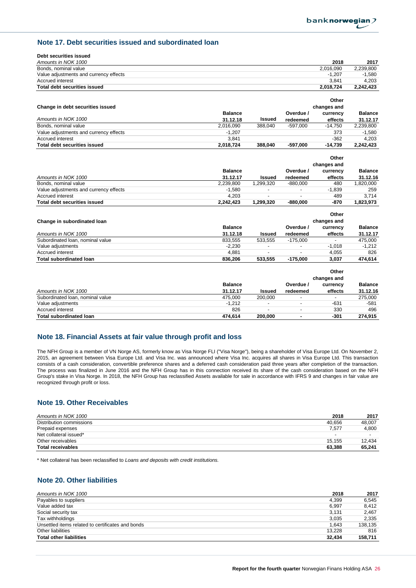## **Note 17. Debt securities issued and subordinated loan**

| Debt securities issued                 |                |               |            |                            |                 |
|----------------------------------------|----------------|---------------|------------|----------------------------|-----------------|
| Amounts in NOK 1000                    |                |               |            | 2018                       | 2017            |
| Bonds, nominal value                   |                |               |            | 2,016,090                  | 2,239,800       |
| Value adjustments and currency effects |                |               |            | $-1.207$                   | $-1,580$        |
| <b>Accrued interest</b>                |                |               |            | 3.841                      | 4,203           |
| <b>Total debt securities issued</b>    |                |               |            | 2,018,724                  | 2,242,423       |
|                                        |                |               |            |                            |                 |
|                                        |                |               |            | Other                      |                 |
| Change in debt securities issued       |                |               |            | changes and                |                 |
|                                        | <b>Balance</b> |               | Overdue /  | currency                   | <b>Balance</b>  |
| Amounts in NOK 1000                    | 31.12.18       | Issued        | redeemed   | effects                    | 31.12.17        |
| Bonds, nominal value                   | 2,016,090      | 388,040       | $-597,000$ | $-14,750$                  | 2,239,800       |
| Value adjustments and currency effects | $-1,207$       |               |            | 373                        | $-1,580$        |
| Accrued interest                       | 3,841          |               |            | $-362$                     | 4,203           |
| <b>Total debt securities issued</b>    | 2,018,724      | 388,040       | $-597.000$ | $-14,739$                  | 2,242,423       |
|                                        |                |               |            |                            |                 |
|                                        |                |               |            | Other                      |                 |
|                                        |                |               |            | changes and                |                 |
|                                        | <b>Balance</b> |               | Overdue /  | currency                   | <b>Balance</b>  |
| Amounts in NOK 1000                    | 31.12.17       | <b>Issued</b> | redeemed   | effects                    | 31.12.16        |
| Bonds, nominal value                   | 2,239,800      | 1,299,320     | $-880,000$ | 480                        | 1,820,000       |
| Value adjustments and currency effects | $-1,580$       |               |            | $-1,839$                   | 259             |
| <b>Accrued</b> interest                | 4,203          |               |            | 489                        | 3,714           |
| <b>Total debt securities issued</b>    | 2,242,423      | 1,299,320     | $-880.000$ | $-870$                     | 1,823,973       |
|                                        |                |               |            |                            |                 |
|                                        |                |               |            | Other                      |                 |
| Change in subordinated loan            |                |               |            | changes and                |                 |
|                                        | <b>Balance</b> |               | Overdue /  | currency                   | <b>Balance</b>  |
| Amounts in NOK 1000                    | 31.12.18       | <b>Issued</b> | redeemed   | effects                    | 31.12.17        |
| Subordinated Ioan, nominal value       | 833,555        | 533,555       | $-175,000$ |                            | 475,000         |
| Value adjustments                      | $-2,230$       |               |            | $-1,018$                   | $-1,212$        |
| <b>Accrued</b> interest                | 4,881          | ÷.            |            | 4,055                      | 826             |
| <b>Total subordinated loan</b>         | 836,206        | 533,555       | $-175.000$ | 3.037                      | 474.614         |
|                                        |                |               |            | Other                      |                 |
|                                        |                |               |            |                            |                 |
|                                        | <b>Balance</b> |               | Overdue /  | changes and                | <b>Balance</b>  |
| Amounte in $NOK 1000$                  | 31 12 17       | leeuad        | rodoomod   | currency<br><b>affacts</b> | <b>31 12 16</b> |

|                                  | <b>Balance</b> |               | Overdue /                | currency                 | <b>Balance</b> |
|----------------------------------|----------------|---------------|--------------------------|--------------------------|----------------|
| Amounts in NOK 1000              | 31.12.17       | <b>Issued</b> | redeemed                 | effects                  | 31.12.16       |
| Subordinated Ioan, nominal value | 475.000        | 200.000       |                          | $\overline{\phantom{a}}$ | 275.000        |
| Value adiustments                | $-1.212$       |               | $\overline{\phantom{a}}$ | $-631$                   | -581           |
| Accrued interest                 | 826            |               | $\overline{\phantom{a}}$ | 330                      | 496            |
| <b>Total subordinated loan</b>   | 474.614        | 200,000       |                          | -301                     | 274.915        |

## **Note 18. Financial Assets at fair value through profit and loss**

The NFH Group is a member of VN Norge AS, formerly know as Visa Norge FLI ("Visa Norge"), being a shareholder of Visa Europe Ltd. On November 2, 2015, an agreement between Visa Europe Ltd. and Visa Inc. was announced where Visa Inc. acquires all shares in Visa Europe Ltd. This transaction consists of a cash consideration, convertible preference shares and a deferred cash consideration paid three years after completion of the transaction. The process was finalized in June 2016 and the NFH Group has in this connection received its share of the cash consideration based on the NFH Group's stake in Visa Norge. In 2018, the NFH Group has reclassified Assets available for sale in accordance with IFRS 9 and changes in fair value are recognized through profit or loss.

## **Note 19. Other Receivables**

| Amounts in NOK 1000      | 2018                     | 2017                     |
|--------------------------|--------------------------|--------------------------|
| Distribution commissions | 40.656                   | 48.007                   |
| Prepaid expenses         | 7.577                    | 4,800                    |
| Net collateral issued*   | $\overline{\phantom{0}}$ | $\overline{\phantom{0}}$ |
| Other receivables        | 15.155                   | 12.434                   |
| <b>Total receivables</b> | 63.388                   | 65,241                   |

\* Net collateral has been reclassified to *Loans and deposits with credit institutions.*

## **Note 20. Other liabilities**

| Amounts in NOK 1000                               | 2018   | 2017    |
|---------------------------------------------------|--------|---------|
| Payables to suppliers                             | 4,399  | 6.545   |
| Value added tax                                   | 6,997  | 8.412   |
| Social security tax                               | 3,131  | 2.467   |
| Tax withholdings                                  | 3,035  | 2.335   |
| Unsettled items related to certificates and bonds | 1,643  | 138,135 |
| Other liabilities                                 | 13.228 | 816     |
| <b>Total other liabilities</b>                    | 32.434 | 158.711 |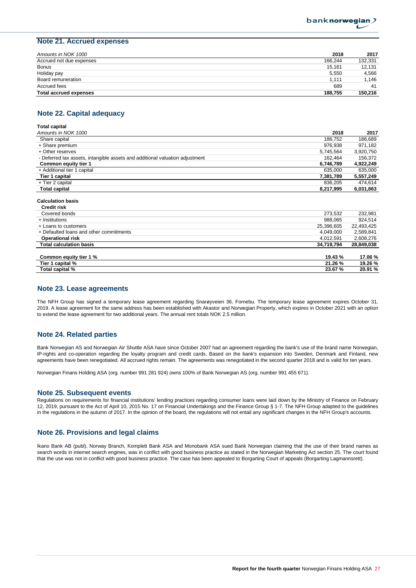## **Note 21. Accrued expenses**

| Amounts in NOK 1000           | 2018    | 2017    |
|-------------------------------|---------|---------|
| Accrued not due expenses      | 166.244 | 132,331 |
| <b>Bonus</b>                  | 15.161  | 12.131  |
| Holiday pay                   | 5,550   | 4.566   |
| Board remuneration            | 1.111   | 1.146   |
| Accrued fees                  | 689     | 41      |
| <b>Total accrued expenses</b> | 188.755 | 150.216 |

## **Note 22. Capital adequacy**

| Total capital                                                                |            |            |
|------------------------------------------------------------------------------|------------|------------|
| Amounts in NOK 1000                                                          | 2018       | 2017       |
| Share capital                                                                | 186.752    | 186,689    |
| + Share premium                                                              | 976,938    | 971,182    |
| + Other reserves                                                             | 5,745,564  | 3,920,750  |
| - Deferred tax assets, intangible assets and additional valuation adjustment | 162.464    | 156,372    |
| Common equity tier 1                                                         | 6,746,789  | 4,922,249  |
| + Additional tier 1 capital                                                  | 635,000    | 635,000    |
| Tier 1 capital                                                               | 7,381,789  | 5,557,249  |
| + Tier 2 capital                                                             | 836,205    | 474,614    |
| <b>Total capital</b>                                                         | 8,217,995  | 6,031,863  |
|                                                                              |            |            |
| <b>Calculation basis</b>                                                     |            |            |
| <b>Credit risk</b>                                                           |            |            |
| Covered bonds                                                                | 273,532    | 232,981    |
| + Institutions                                                               | 988,065    | 924,514    |
| + Loans to customers                                                         | 25,396,605 | 22,493,425 |
| + Defaulted loans and other commitments                                      | 4,049,000  | 2,589,841  |
| <b>Operational risk</b>                                                      | 4,012,591  | 2,608,276  |
| <b>Total calculation basis</b>                                               | 34,719,794 | 28,849,038 |

| Common equity tier 1 % | 19.43 % | 17.06%  |
|------------------------|---------|---------|
| Tier 1<br>1 capital %  | 21.26 % | 19.26 % |
| Total capital %        | 23.67 % | 20.91 % |

## **Note 23. Lease agreements**

The NFH Group has signed a temporary lease agreement regarding Snarøyveien 36, Fornebu. The temporary lease agreement expires October 31, 2019. A lease agreement for the same address has been established with Akastor and Norwegian Property, which expires in October 2021 with an option to extend the lease agreement for two additional years. The annual rent totals NOK 2.5 million.

## **Note 24. Related parties**

Bank Norwegian AS and Norwegian Air Shuttle ASA have since October 2007 had an agreement regarding the bank's use of the brand name Norwegian, IP-rights and co-operation regarding the loyalty program and credit cards. Based on the bank's expansion into Sweden, Denmark and Finland, new agreements have been renegotiated. All accrued rights remain. The agreements was renegotiated in the second quarter 2018 and is valid for ten years.

Norwegian Finans Holding ASA (org. number 991 281 924) owns 100% of Bank Norwegian AS (org. number 991 455 671).

#### **Note 25. Subsequent events**

Regulations on requirements for financial institutions' lending practices regarding consumer loans were laid down by the Ministry of Finance on February 12, 2019, pursuant to the Act of April 10, 2015 No. 17 on Financial Undertakings and the Finance Group § 1-7. The NFH Group adapted to the guidelines in the regulations in the autumn of 2017. In the opinion of the board, the regulations will not entail any significant changes in the NFH Group's accounts.

### **Note 26. Provisions and legal claims**

Ikano Bank AB (publ), Norway Branch, Komplett Bank ASA and Monobank ASA sued Bank Norwegian claiming that the use of their brand names as search words in internet search engines, was in conflict with good business practice as stated in the Norwegian Marketing Act section 25. The court found that the use was not in conflict with good business practice. The case has been appealed to Borgarting Court of appeals (Borgarting Lagmannsrett).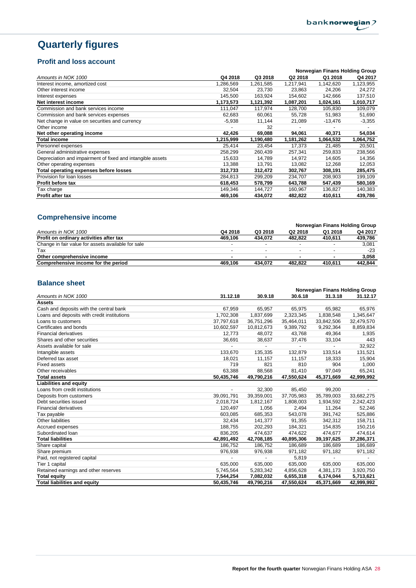# **Quarterly figures**

## **Profit and loss account**

|                                                            |           |           |           | Norwegian Finans Holding Group |           |
|------------------------------------------------------------|-----------|-----------|-----------|--------------------------------|-----------|
| Amounts in NOK 1000                                        | Q4 2018   | Q3 2018   | Q2 2018   | Q1 2018                        | Q4 2017   |
| Interest income, amortized cost                            | 1.286.569 | 1,261,585 | 1,217,941 | 1,142,620                      | 1,123,955 |
| Other interest income                                      | 32,504    | 23,730    | 23,863    | 24,206                         | 24,272    |
| Interest expenses                                          | 145,500   | 163,924   | 154,602   | 142,666                        | 137,510   |
| Net interest income                                        | 1,173,573 | 1,121,392 | 1,087,201 | 1,024,161                      | 1,010,717 |
| Commission and bank services income                        | 111.047   | 117,974   | 128,700   | 105,830                        | 109,079   |
| Commission and bank services expenses                      | 62,683    | 60,061    | 55,728    | 51,983                         | 51,690    |
| Net change in value on securities and currency             | $-5,938$  | 11,144    | 21,089    | -13,476                        | $-3,355$  |
| Other income                                               |           | 32        |           |                                |           |
| Net other operating income                                 | 42,426    | 69,088    | 94,061    | 40,371                         | 54,034    |
| <b>Total income</b>                                        | 1,215,999 | 1,190,480 | 1,181,262 | 1,064,532                      | 1,064,752 |
| Personnel expenses                                         | 25,414    | 23,454    | 17,373    | 21,485                         | 20,501    |
| General administrative expenses                            | 258,299   | 260,439   | 257,341   | 259,833                        | 238,566   |
| Depreciation and impairment of fixed and intangible assets | 15,633    | 14,789    | 14,972    | 14,605                         | 14,356    |
| Other operating expenses                                   | 13,388    | 13,791    | 13,082    | 12,268                         | 12,053    |
| Total operating expenses before losses                     | 312,733   | 312,472   | 302,767   | 308,191                        | 285,475   |
| Provision for loan losses                                  | 284,813   | 299,209   | 234,707   | 208,903                        | 199,109   |
| Profit before tax                                          | 618,453   | 578,799   | 643,788   | 547,439                        | 580,169   |
| Гах charge                                                 | 149,346   | 144,727   | 160,967   | 136,827                        | 140,383   |
| Profit after tax                                           | 469,106   | 434,072   | 482,822   | 410,611                        | 439,786   |

## **Comprehensive income**

| Q4 2018 | Q3 2018                  | Q2 2018 | Q1 2018 | Q4 2017                        |
|---------|--------------------------|---------|---------|--------------------------------|
| 469.106 | 434.072                  | 482.822 | 410.611 | 439,786                        |
|         | $\overline{\phantom{a}}$ |         |         | 3,081                          |
|         | $\overline{\phantom{a}}$ |         |         | $-23$                          |
|         |                          |         |         | 3.058                          |
| 469.106 | 434.072                  | 482.822 | 410.611 | 442,844                        |
|         |                          |         |         | Norwegian Finans Holding Group |

## **Balance sheet**

|                                             |            |                          |            | Norwegian Finans Holding Group |            |
|---------------------------------------------|------------|--------------------------|------------|--------------------------------|------------|
| Amounts in NOK 1000                         | 31.12.18   | 30.9.18                  | 30.6.18    | 31.3.18                        | 31.12.17   |
| <b>Assets</b>                               |            |                          |            |                                |            |
| Cash and deposits with the central bank     | 67,959     | 65,957                   | 65,975     | 65,982                         | 65,976     |
| Loans and deposits with credit institutions | 1,702,308  | 1,837,699                | 2,323,345  | 1,838,548                      | 1,345,647  |
| Loans to customers                          | 37,797,618 | 36,751,296               | 35,464,011 | 33,842,506                     | 32,479,570 |
| Certificates and bonds                      | 10,602,597 | 10.812.673               | 9,389,792  | 9,292,364                      | 8,859,834  |
| <b>Financial derivatives</b>                | 12,773     | 48,072                   | 43,768     | 49,364                         | 1,935      |
| Shares and other securities                 | 36,691     | 38,637                   | 37,476     | 33,104                         | 443        |
| Assets available for sale                   |            | $\overline{\phantom{a}}$ |            | $\overline{\phantom{a}}$       | 32,922     |
| Intangible assets                           | 133,670    | 135,335                  | 132.879    | 133,514                        | 131,521    |
| Deferred tax asset                          | 18,021     | 11,157                   | 11,157     | 18,333                         | 15,904     |
| <b>Fixed assets</b>                         | 719        | 821                      | 810        | 904                            | 1,000      |
| Other receivables                           | 63,388     | 88,568                   | 81,410     | 97,049                         | 65,241     |
| <b>Total assets</b>                         | 50,435,746 | 49,790,216               | 47,550,624 | 45,371,669                     | 42,999,992 |
| <b>Liabilities and equity</b>               |            |                          |            |                                |            |
| Loans from credit institutions              |            | 32,300                   | 85,450     | 99,200                         |            |
| Deposits from customers                     | 39,091,791 | 39,359,001               | 37,705,983 | 35,789,003                     | 33,682,275 |
| Debt securities issued                      | 2,018,724  | 1,812,167                | 1,808,003  | 1,934,592                      | 2,242,423  |
| <b>Financial derivatives</b>                | 120.497    | 1,056                    | 2.494      | 11.264                         | 52,246     |
| Tax payable                                 | 603,085    | 685,353                  | 543,078    | 391,742                        | 525,886    |
| Other liabilities                           | 32,434     | 141,377                  | 91,355     | 342,312                        | 158,711    |
| Accrued expenses                            | 188,755    | 202,293                  | 184,321    | 154,835                        | 150,216    |
| Subordinated Ioan                           | 836,205    | 474,637                  | 474,622    | 474,677                        | 474,614    |
| <b>Total liabilities</b>                    | 42,891,492 | 42,708,185               | 40,895,306 | 39,197,625                     | 37,286,371 |
| Share capital                               | 186,752    | 186,752                  | 186,689    | 186,689                        | 186,689    |
| Share premium                               | 976,938    | 976,938                  | 971,182    | 971,182                        | 971,182    |
| Paid, not registered capital                |            |                          | 5,819      |                                |            |
| Tier 1 capital                              | 635,000    | 635,000                  | 635,000    | 635,000                        | 635,000    |
| Retained earnings and other reserves        | 5,745,564  | 5,283,342                | 4,856,628  | 4,381,173                      | 3,920,750  |
| <b>Total equity</b>                         | 7,544,254  | 7,082,032                | 6,655,318  | 6,174,044                      | 5,713,621  |
| <b>Total liabilities and equity</b>         | 50,435,746 | 49,790,216               | 47,550,624 | 45,371,669                     | 42,999,992 |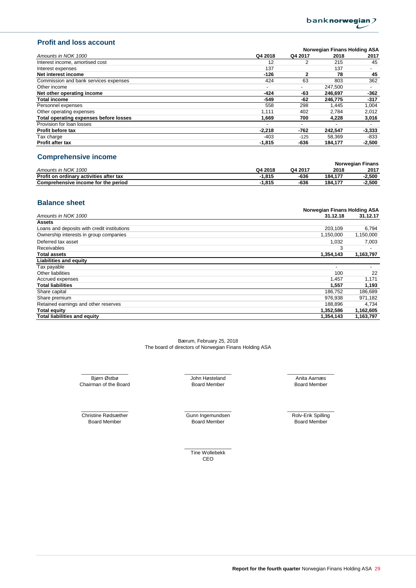

## **Profit and loss account**

|                                        |                          |              | Norwegian Finans Holding ASA |                          |
|----------------------------------------|--------------------------|--------------|------------------------------|--------------------------|
| Amounts in NOK 1000                    | Q4 2018                  | Q4 2017      | 2018                         | 2017                     |
| Interest income, amortised cost        | 12                       |              | 215                          | 45                       |
| Interest expenses                      | 137                      |              | 137                          | $\overline{\phantom{0}}$ |
| Net interest income                    | $-126$                   | $\mathbf{2}$ | 78                           | 45                       |
| Commission and bank services expenses  | 424                      | 63           | 803                          | 362                      |
| Other income                           | ٠                        |              | 247,500                      |                          |
| Net other operating income             | -424                     | -63          | 246.697                      | $-362$                   |
| <b>Total income</b>                    | -549                     | -62          | 246,775                      | $-317$                   |
| Personnel expenses                     | 558                      | 298          | 1.445                        | 1.004                    |
| Other operating expenses               | 1.111                    | 402          | 2.784                        | 2,012                    |
| Total operating expenses before losses | 1,669                    | 700          | 4,228                        | 3,016                    |
| Provision for loan losses              | $\overline{\phantom{0}}$ |              |                              |                          |
| Profit before tax                      | $-2,218$                 | $-762$       | 242.547                      | $-3,333$                 |
| Tax charge                             | $-403$                   | $-125$       | 58.369                       | $-833$                   |
| Profit after tax                       | $-1,815$                 | -636         | 184,177                      | $-2,500$                 |
|                                        |                          |              |                              |                          |

## **Comprehensive income**

|                                         |         | <b>Norwegian Finans</b> |         |       |
|-----------------------------------------|---------|-------------------------|---------|-------|
| Amounts in NOK 1000                     | Q4 2018 | Q4 2017                 | 2018    | 2017  |
| Profit on ordinary activities after tax | 815. ا  | -636                    | 184.177 | 2,500 |
| Comprehensive income for the period     | 815. ا  | -636                    | 184.177 | 2,500 |

## **Balance sheet**

|                                             | Norwegian Finans Holding ASA |           |
|---------------------------------------------|------------------------------|-----------|
| Amounts in NOK 1000                         | 31.12.18                     | 31.12.17  |
| Assets                                      |                              |           |
| Loans and deposits with credit institutions | 203,109                      | 6,794     |
| Ownership interests in group companies      | 1,150,000                    | 1,150,000 |
| Deferred tax asset                          | 1,032                        | 7,003     |
| Receivables                                 | 3                            |           |
| <b>Total assets</b>                         | 1,354,143                    | 1,163,797 |
| <b>Liabilities and equity</b>               |                              |           |
| Tax payable                                 | ٠                            |           |
| Other liabilities                           | 100                          | 22        |
| Accrued expenses                            | 1,457                        | 1,171     |
| <b>Total liabilities</b>                    | 1,557                        | 1,193     |
| Share capital                               | 186,752                      | 186,689   |
| Share premium                               | 976,938                      | 971,182   |
| Retained earnings and other reserves        | 188.896                      | 4,734     |
| <b>Total equity</b>                         | 1,352,586                    | 1,162,605 |
| <b>Total liabilities and equity</b>         | 1,354,143                    | 1,163,797 |

Bærum, February 25, 2018 The board of directors of Norwegian Finans Holding ASA

John Høsteland Bjørn Østbø Anita Aarnæs Chairman of the Board **Board Chairman of the Board Chairman** of the Board Member

Board Member \_\_\_\_\_\_\_\_\_\_\_\_\_\_\_\_\_ \_\_\_\_\_\_\_\_\_\_\_\_\_\_\_\_\_ \_\_\_\_\_\_\_\_\_\_\_\_\_\_\_\_\_

Christine Rødsæther \_\_\_\_\_\_\_\_\_\_\_\_\_\_\_\_\_ \_\_\_\_\_\_\_\_\_\_\_\_\_\_\_\_\_ \_\_\_\_\_\_\_\_\_\_\_\_\_\_\_\_\_

Gunn Ingemundsen Board Member Board Member Board Member

Rolv-Erik Spilling

 $\overline{\phantom{a}}$  ,  $\overline{\phantom{a}}$  ,  $\overline{\phantom{a}}$  ,  $\overline{\phantom{a}}$  ,  $\overline{\phantom{a}}$  ,  $\overline{\phantom{a}}$  ,  $\overline{\phantom{a}}$  ,  $\overline{\phantom{a}}$  ,  $\overline{\phantom{a}}$  ,  $\overline{\phantom{a}}$  ,  $\overline{\phantom{a}}$  ,  $\overline{\phantom{a}}$  ,  $\overline{\phantom{a}}$  ,  $\overline{\phantom{a}}$  ,  $\overline{\phantom{a}}$  ,  $\overline{\phantom{a}}$ Tine Wollebekk CEO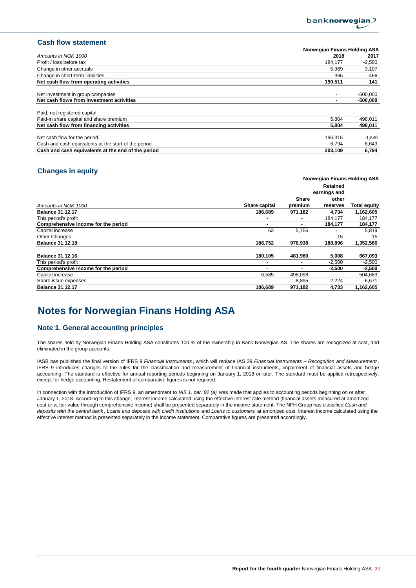

## **Cash flow statement**

|                                                      | Norwegian Finans Holding ASA |            |
|------------------------------------------------------|------------------------------|------------|
| Amounts in NOK 1000                                  | 2018                         | 2017       |
| Profit / loss before tax                             | 184.177                      | $-2,500$   |
| Change in other accruals                             | 5.969                        | 3,107      |
| Change in short-term liabilities                     | 365                          | -466       |
| Net cash flow from operating activities              | 190,511                      | 141        |
|                                                      |                              |            |
| Net investment in group companies                    | $\overline{\phantom{0}}$     | $-500.000$ |
| Net cash flows from investment activities            |                              | $-500.000$ |
|                                                      |                              |            |
| Paid, not registered capital                         |                              |            |
| Paid-in share capital and share premium              | 5.804                        | 498,011    |
| Net cash flow from financing activities              | 5,804                        | 498,011    |
|                                                      |                              |            |
| Net cash flow for the period                         | 196.315                      | $-1,849$   |
| Cash and cash equivalents at the start of the period | 6.794                        | 8,643      |
| Cash and cash equivalents at the end of the period   | 203,109                      | 6,794      |

## **Changes in equity**

|                                     |                          | Norwegian Finans Holding ASA |              |                     |
|-------------------------------------|--------------------------|------------------------------|--------------|---------------------|
|                                     |                          |                              | Retained     |                     |
|                                     |                          |                              | earnings and |                     |
|                                     |                          | Share                        | other        |                     |
| Amounts in NOK 1000                 | Share capital            | premium                      | reserves     | <b>Total equity</b> |
| <b>Balance 31.12.17</b>             | 186,689                  | 971,182                      | 4,734        | 1,162,605           |
| This period's profit                | $\overline{\phantom{0}}$ |                              | 184,177      | 184,177             |
| Comprehensive income for the period | ۰                        |                              | 184,177      | 184,177             |
| Capital increase                    | 63                       | 5,756                        |              | 5,819               |
| <b>Other Changes</b>                |                          |                              | $-15$        | $-15$               |
| <b>Balance 31.12.18</b>             | 186,752                  | 976,938                      | 188,896      | 1,352,586           |
| <b>Balance 31.12.16</b>             | 180,105                  | 481,980                      | 5,008        | 667,093             |
| This period's profit                | $\overline{\phantom{0}}$ |                              | $-2,500$     | $-2,500$            |
| Comprehensive income for the period |                          |                              | $-2,500$     | $-2,500$            |
| Capital increase                    | 6,585                    | 498,098                      |              | 504,683             |
| Share issue expenses                |                          | $-8,895$                     | 2,224        | $-6,671$            |
| <b>Balance 31.12.17</b>             | 186,689                  | 971,182                      | 4,733        | 1,162,605           |

## **Notes for Norwegian Finans Holding ASA**

## **Note 1. General accounting principles**

The shares held by Norwegian Finans Holding ASA constitutes 100 % of the ownership in Bank Norwegian AS. The shares are recognized at cost, and eliminated in the group accounts.

IASB has published the final version of IFRS 9 *Financial Instruments* , which will replace IAS 39 *Financial Instruments – Recognition and Measurement* . IFRS 9 introduces changes to the rules for the classification and measurement of financial instruments, impairment of financial assets and hedge accounting. The standard is effective for annual reporting periods beginning on January 1, 2018 or later. The standard must be applied retrospectively, except for hedge accounting. Restatement of comparative figures is not required.

In connection with the introduction of IFRS 9, an amendment to *IAS 1, par. 82 (a)* was made that applies to accounting periods beginning on or after January 1, 2018. According to this change, interest income calculated using the effective interest rate method (financial assets measured at amortized cost or at fair value through comprehensive income) shall be presented separately in the income statement. The NFH Group has classified *Cash and deposits with the central bank* , *Loans and deposits with credit institutions* and *Loans to customers* at amortized cost. Interest income calculated using the effective interest method is presented separately in the income statement. Comparative figures are presented accordingly.